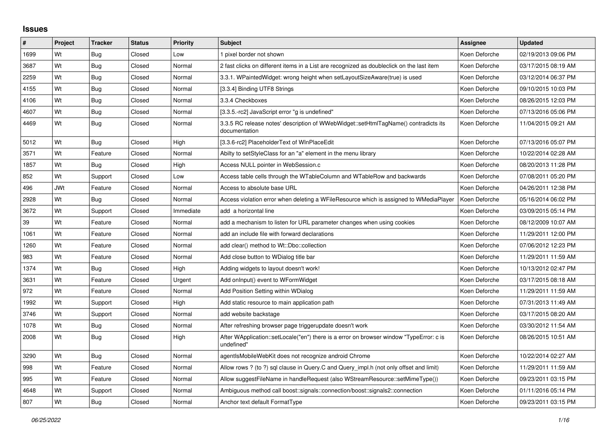## **Issues**

| #    | Project    | <b>Tracker</b> | <b>Status</b> | <b>Priority</b> | <b>Subject</b>                                                                                        | <b>Assignee</b> | <b>Updated</b>      |
|------|------------|----------------|---------------|-----------------|-------------------------------------------------------------------------------------------------------|-----------------|---------------------|
| 1699 | Wt         | Bug            | Closed        | Low             | 1 pixel border not shown                                                                              | Koen Deforche   | 02/19/2013 09:06 PM |
| 3687 | Wt         | Bug            | Closed        | Normal          | 2 fast clicks on different items in a List are recognized as doubleclick on the last item             | Koen Deforche   | 03/17/2015 08:19 AM |
| 2259 | Wt         | <b>Bug</b>     | Closed        | Normal          | 3.3.1. WPaintedWidget: wrong height when setLayoutSizeAware(true) is used                             | Koen Deforche   | 03/12/2014 06:37 PM |
| 4155 | Wt         | <b>Bug</b>     | Closed        | Normal          | [3.3.4] Binding UTF8 Strings                                                                          | Koen Deforche   | 09/10/2015 10:03 PM |
| 4106 | Wt         | <b>Bug</b>     | Closed        | Normal          | 3.3.4 Checkboxes                                                                                      | Koen Deforche   | 08/26/2015 12:03 PM |
| 4607 | Wt         | Bug            | Closed        | Normal          | [3.3.5.-rc2] JavaScript error "g is undefined"                                                        | Koen Deforche   | 07/13/2016 05:06 PM |
| 4469 | Wt         | Bug            | Closed        | Normal          | 3.3.5 RC release notes' description of WWebWidget::setHtmlTagName() contradicts its<br>documentation  | Koen Deforche   | 11/04/2015 09:21 AM |
| 5012 | Wt         | Bug            | Closed        | High            | [3.3.6-rc2] PlaceholderText of WInPlaceEdit                                                           | Koen Deforche   | 07/13/2016 05:07 PM |
| 3571 | Wt         | Feature        | Closed        | Normal          | Abilty to setStyleClass for an "a" element in the menu library                                        | Koen Deforche   | 10/22/2014 02:28 AM |
| 1857 | Wt         | <b>Bug</b>     | Closed        | High            | Access NULL pointer in WebSession.c                                                                   | Koen Deforche   | 08/20/2013 11:28 PM |
| 852  | Wt         | Support        | Closed        | Low             | Access table cells through the WTableColumn and WTableRow and backwards                               | Koen Deforche   | 07/08/2011 05:20 PM |
| 496  | <b>JWt</b> | Feature        | Closed        | Normal          | Access to absolute base URL                                                                           | Koen Deforche   | 04/26/2011 12:38 PM |
| 2928 | Wt         | <b>Bug</b>     | Closed        | Normal          | Access violation error when deleting a WFileResource which is assigned to WMediaPlayer                | Koen Deforche   | 05/16/2014 06:02 PM |
| 3672 | Wt         | Support        | Closed        | Immediate       | add a horizontal line                                                                                 | Koen Deforche   | 03/09/2015 05:14 PM |
| 39   | Wt         | Feature        | Closed        | Normal          | add a mechanism to listen for URL parameter changes when using cookies                                | Koen Deforche   | 08/12/2009 10:07 AM |
| 1061 | Wt         | Feature        | Closed        | Normal          | add an include file with forward declarations                                                         | Koen Deforche   | 11/29/2011 12:00 PM |
| 1260 | Wt         | Feature        | Closed        | Normal          | add clear() method to Wt::Dbo::collection                                                             | Koen Deforche   | 07/06/2012 12:23 PM |
| 983  | Wt         | Feature        | Closed        | Normal          | Add close button to WDialog title bar                                                                 | Koen Deforche   | 11/29/2011 11:59 AM |
| 1374 | Wt         | Bug            | Closed        | High            | Adding widgets to layout doesn't work!                                                                | Koen Deforche   | 10/13/2012 02:47 PM |
| 3631 | Wt         | Feature        | Closed        | Urgent          | Add onInput() event to WFormWidget                                                                    | Koen Deforche   | 03/17/2015 08:18 AM |
| 972  | Wt         | Feature        | Closed        | Normal          | Add Position Setting within WDialog                                                                   | Koen Deforche   | 11/29/2011 11:59 AM |
| 1992 | Wt         | Support        | Closed        | High            | Add static resource to main application path                                                          | Koen Deforche   | 07/31/2013 11:49 AM |
| 3746 | Wt         | Support        | Closed        | Normal          | add website backstage                                                                                 | Koen Deforche   | 03/17/2015 08:20 AM |
| 1078 | Wt         | Bug            | Closed        | Normal          | After refreshing browser page triggerupdate doesn't work                                              | Koen Deforche   | 03/30/2012 11:54 AM |
| 2008 | Wt         | Bug            | Closed        | High            | After WApplication::setLocale("en") there is a error on browser window "TypeError: c is<br>undefined" | Koen Deforche   | 08/26/2015 10:51 AM |
| 3290 | Wt         | Bug            | Closed        | Normal          | agentIsMobileWebKit does not recognize android Chrome                                                 | Koen Deforche   | 10/22/2014 02:27 AM |
| 998  | Wt         | Feature        | Closed        | Normal          | Allow rows ? (to ?) sql clause in Query.C and Query impl.h (not only offset and limit)                | Koen Deforche   | 11/29/2011 11:59 AM |
| 995  | Wt         | Feature        | Closed        | Normal          | Allow suggestFileName in handleRequest (also WStreamResource::setMimeType())                          | Koen Deforche   | 09/23/2011 03:15 PM |
| 4648 | Wt         | Support        | Closed        | Normal          | Ambiguous method call boost::signals::connection/boost::signals2::connection                          | Koen Deforche   | 01/11/2016 05:14 PM |
| 807  | Wt         | <b>Bug</b>     | Closed        | Normal          | Anchor text default FormatType                                                                        | Koen Deforche   | 09/23/2011 03:15 PM |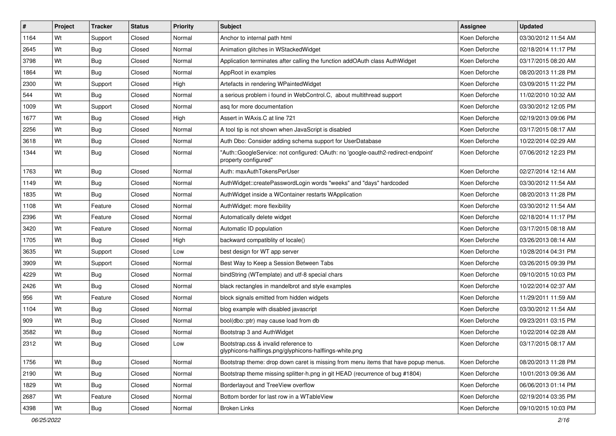| #    | Project | <b>Tracker</b> | <b>Status</b> | <b>Priority</b> | Subject                                                                                                   | <b>Assignee</b> | <b>Updated</b>      |
|------|---------|----------------|---------------|-----------------|-----------------------------------------------------------------------------------------------------------|-----------------|---------------------|
| 1164 | Wt      | Support        | Closed        | Normal          | Anchor to internal path html                                                                              | Koen Deforche   | 03/30/2012 11:54 AM |
| 2645 | Wt      | <b>Bug</b>     | Closed        | Normal          | Animation glitches in WStackedWidget                                                                      | Koen Deforche   | 02/18/2014 11:17 PM |
| 3798 | Wt      | <b>Bug</b>     | Closed        | Normal          | Application terminates after calling the function addOAuth class AuthWidget                               | Koen Deforche   | 03/17/2015 08:20 AM |
| 1864 | Wt      | <b>Bug</b>     | Closed        | Normal          | AppRoot in examples                                                                                       | Koen Deforche   | 08/20/2013 11:28 PM |
| 2300 | Wt      | Support        | Closed        | High            | Artefacts in rendering WPaintedWidget                                                                     | Koen Deforche   | 03/09/2015 11:22 PM |
| 544  | Wt      | <b>Bug</b>     | Closed        | Normal          | a serious problem i found in WebControl.C, about multithread support                                      | Koen Deforche   | 11/02/2010 10:32 AM |
| 1009 | Wt      | Support        | Closed        | Normal          | asq for more documentation                                                                                | Koen Deforche   | 03/30/2012 12:05 PM |
| 1677 | Wt      | <b>Bug</b>     | Closed        | High            | Assert in WAxis.C at line 721                                                                             | Koen Deforche   | 02/19/2013 09:06 PM |
| 2256 | Wt      | <b>Bug</b>     | Closed        | Normal          | A tool tip is not shown when JavaScript is disabled                                                       | Koen Deforche   | 03/17/2015 08:17 AM |
| 3618 | Wt      | <b>Bug</b>     | Closed        | Normal          | Auth Dbo: Consider adding schema support for UserDatabase                                                 | Koen Deforche   | 10/22/2014 02:29 AM |
| 1344 | Wt      | <b>Bug</b>     | Closed        | Normal          | "Auth::GoogleService: not configured: OAuth: no 'google-oauth2-redirect-endpoint'<br>property configured" | Koen Deforche   | 07/06/2012 12:23 PM |
| 1763 | Wt      | <b>Bug</b>     | Closed        | Normal          | Auth: maxAuthTokensPerUser                                                                                | Koen Deforche   | 02/27/2014 12:14 AM |
| 1149 | Wt      | <b>Bug</b>     | Closed        | Normal          | AuthWidget::createPasswordLogin words "weeks" and "days" hardcoded                                        | Koen Deforche   | 03/30/2012 11:54 AM |
| 1835 | Wt      | <b>Bug</b>     | Closed        | Normal          | AuthWidget inside a WContainer restarts WApplication                                                      | Koen Deforche   | 08/20/2013 11:28 PM |
| 1108 | Wt      | Feature        | Closed        | Normal          | AuthWidget: more flexibility                                                                              | Koen Deforche   | 03/30/2012 11:54 AM |
| 2396 | Wt      | Feature        | Closed        | Normal          | Automatically delete widget                                                                               | Koen Deforche   | 02/18/2014 11:17 PM |
| 3420 | Wt      | Feature        | Closed        | Normal          | Automatic ID population                                                                                   | Koen Deforche   | 03/17/2015 08:18 AM |
| 1705 | Wt      | <b>Bug</b>     | Closed        | High            | backward compatiblity of locale()                                                                         | Koen Deforche   | 03/26/2013 08:14 AM |
| 3635 | Wt      | Support        | Closed        | Low             | best design for WT app server                                                                             | Koen Deforche   | 10/28/2014 04:31 PM |
| 3909 | Wt      | Support        | Closed        | Normal          | Best Way to Keep a Session Between Tabs                                                                   | Koen Deforche   | 03/26/2015 09:39 PM |
| 4229 | Wt      | <b>Bug</b>     | Closed        | Normal          | bindString (WTemplate) and utf-8 special chars                                                            | Koen Deforche   | 09/10/2015 10:03 PM |
| 2426 | Wt      | <b>Bug</b>     | Closed        | Normal          | black rectangles in mandelbrot and style examples                                                         | Koen Deforche   | 10/22/2014 02:37 AM |
| 956  | Wt      | Feature        | Closed        | Normal          | block signals emitted from hidden widgets                                                                 | Koen Deforche   | 11/29/2011 11:59 AM |
| 1104 | Wt      | Bug            | Closed        | Normal          | blog example with disabled javascript                                                                     | Koen Deforche   | 03/30/2012 11:54 AM |
| 909  | Wt      | <b>Bug</b>     | Closed        | Normal          | bool(dbo::ptr) may cause load from db                                                                     | Koen Deforche   | 09/23/2011 03:15 PM |
| 3582 | Wt      | <b>Bug</b>     | Closed        | Normal          | Bootstrap 3 and AuthWidget                                                                                | Koen Deforche   | 10/22/2014 02:28 AM |
| 2312 | Wt      | <b>Bug</b>     | Closed        | Low             | Bootstrap.css & invalid reference to<br>glyphicons-halflings.png/glyphicons-halflings-white.png           | Koen Deforche   | 03/17/2015 08:17 AM |
| 1756 | Wt      | <b>Bug</b>     | Closed        | Normal          | Bootstrap theme: drop down caret is missing from menu items that have popup menus.                        | Koen Deforche   | 08/20/2013 11:28 PM |
| 2190 | Wt      | <b>Bug</b>     | Closed        | Normal          | Bootstrap theme missing splitter-h.png in git HEAD (recurrence of bug #1804)                              | Koen Deforche   | 10/01/2013 09:36 AM |
| 1829 | Wt      | <b>Bug</b>     | Closed        | Normal          | Borderlayout and TreeView overflow                                                                        | Koen Deforche   | 06/06/2013 01:14 PM |
| 2687 | Wt      | Feature        | Closed        | Normal          | Bottom border for last row in a WTableView                                                                | Koen Deforche   | 02/19/2014 03:35 PM |
| 4398 | Wt      | <b>Bug</b>     | Closed        | Normal          | <b>Broken Links</b>                                                                                       | Koen Deforche   | 09/10/2015 10:03 PM |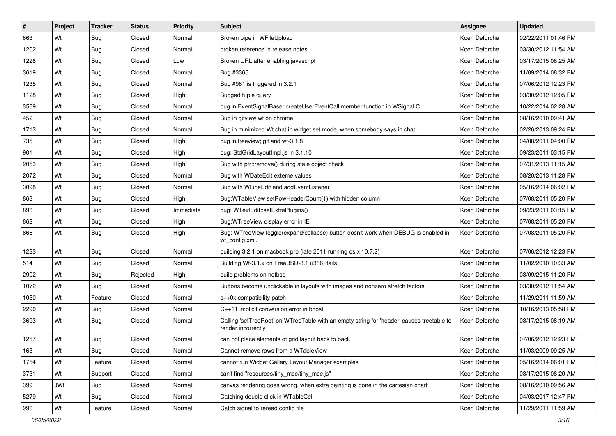| #    | Project    | <b>Tracker</b> | <b>Status</b> | <b>Priority</b> | Subject                                                                                                         | <b>Assignee</b> | <b>Updated</b>      |
|------|------------|----------------|---------------|-----------------|-----------------------------------------------------------------------------------------------------------------|-----------------|---------------------|
| 663  | Wt         | <b>Bug</b>     | Closed        | Normal          | Broken pipe in WFileUpload                                                                                      | Koen Deforche   | 02/22/2011 01:46 PM |
| 1202 | Wt         | <b>Bug</b>     | Closed        | Normal          | broken reference in release notes                                                                               | Koen Deforche   | 03/30/2012 11:54 AM |
| 1228 | Wt         | <b>Bug</b>     | Closed        | Low             | Broken URL after enabling javascript                                                                            | Koen Deforche   | 03/17/2015 08:25 AM |
| 3619 | Wt         | <b>Bug</b>     | Closed        | Normal          | Bug #3365                                                                                                       | Koen Deforche   | 11/09/2014 08:32 PM |
| 1235 | Wt         | <b>Bug</b>     | Closed        | Normal          | Bug #981 is triggered in 3.2.1                                                                                  | Koen Deforche   | 07/06/2012 12:23 PM |
| 1128 | Wt         | <b>Bug</b>     | Closed        | High            | Bugged tuple query                                                                                              | Koen Deforche   | 03/30/2012 12:05 PM |
| 3569 | Wt         | <b>Bug</b>     | Closed        | Normal          | bug in EventSignalBase::createUserEventCall member function in WSignal.C                                        | Koen Deforche   | 10/22/2014 02:28 AM |
| 452  | Wt         | <b>Bug</b>     | Closed        | Normal          | Bug in gitview.wt on chrome                                                                                     | Koen Deforche   | 08/16/2010 09:41 AM |
| 1713 | Wt         | <b>Bug</b>     | Closed        | Normal          | Bug in minimized Wt chat in widget set mode, when somebody says in chat                                         | Koen Deforche   | 02/26/2013 09:24 PM |
| 735  | Wt         | <b>Bug</b>     | Closed        | High            | bug in treeview; git and wt-3.1.8                                                                               | Koen Deforche   | 04/08/2011 04:00 PM |
| 901  | Wt         | <b>Bug</b>     | Closed        | High            | bug: StdGridLayoutImpl.js in 3.1.10                                                                             | Koen Deforche   | 09/23/2011 03:15 PM |
| 2053 | Wt         | <b>Bug</b>     | Closed        | High            | Bug with ptr::remove() during stale object check                                                                | Koen Deforche   | 07/31/2013 11:15 AM |
| 2072 | Wt         | <b>Bug</b>     | Closed        | Normal          | Bug with WDateEdit exteme values                                                                                | Koen Deforche   | 08/20/2013 11:28 PM |
| 3098 | Wt         | <b>Bug</b>     | Closed        | Normal          | Bug with WLineEdit and addEventListener                                                                         | Koen Deforche   | 05/16/2014 06:02 PM |
| 863  | Wt         | <b>Bug</b>     | Closed        | High            | Bug: WTable View set Row Header Count (1) with hidden column                                                    | Koen Deforche   | 07/08/2011 05:20 PM |
| 896  | Wt         | <b>Bug</b>     | Closed        | Immediate       | bug: WTextEdit::setExtraPlugins()                                                                               | Koen Deforche   | 09/23/2011 03:15 PM |
| 862  | Wt         | <b>Bug</b>     | Closed        | High            | Bug: WTree View display error in IE                                                                             | Koen Deforche   | 07/08/2011 05:20 PM |
| 866  | Wt         | <b>Bug</b>     | Closed        | High            | Bug: WTreeView toggle(expand/collapse) button dosn't work when DEBUG is enabled in<br>wt config.xml.            | Koen Deforche   | 07/08/2011 05:20 PM |
| 1223 | Wt         | <b>Bug</b>     | Closed        | Normal          | building 3.2.1 on macbook pro (late 2011 running os x 10.7.2)                                                   | Koen Deforche   | 07/06/2012 12:23 PM |
| 514  | Wt         | <b>Bug</b>     | Closed        | Normal          | Building Wt-3.1.x on FreeBSD-8.1 (i386) fails                                                                   | Koen Deforche   | 11/02/2010 10:33 AM |
| 2902 | Wt         | Bug            | Rejected      | High            | build problems on netbsd                                                                                        | Koen Deforche   | 03/09/2015 11:20 PM |
| 1072 | Wt         | <b>Bug</b>     | Closed        | Normal          | Buttons become unclickable in layouts with images and nonzero stretch factors                                   | Koen Deforche   | 03/30/2012 11:54 AM |
| 1050 | Wt         | Feature        | Closed        | Normal          | c++0x compatibility patch                                                                                       | Koen Deforche   | 11/29/2011 11:59 AM |
| 2290 | Wt         | <b>Bug</b>     | Closed        | Normal          | C++11 implicit conversion error in boost                                                                        | Koen Deforche   | 10/16/2013 05:58 PM |
| 3693 | Wt         | <b>Bug</b>     | Closed        | Normal          | Calling 'setTreeRoot' on WTreeTable with an empty string for 'header' causes treetable to<br>render incorrectly | Koen Deforche   | 03/17/2015 08:19 AM |
| 1257 | Wt         | <b>Bug</b>     | Closed        | Normal          | can not place elements of grid layout back to back                                                              | Koen Deforche   | 07/06/2012 12:23 PM |
| 163  | Wt         | <b>Bug</b>     | Closed        | Normal          | Cannot remove rows from a WTableView                                                                            | Koen Deforche   | 11/03/2009 09:25 AM |
| 1754 | Wt         | Feature        | Closed        | Normal          | cannot run Widget Gallery Layout Manager examples                                                               | Koen Deforche   | 05/16/2014 06:01 PM |
| 3731 | Wt         | Support        | Closed        | Normal          | can't find "resources/tiny_mce/tiny_mce.js"                                                                     | Koen Deforche   | 03/17/2015 08:20 AM |
| 399  | <b>JWt</b> | Bug            | Closed        | Normal          | canvas rendering goes wrong, when extra painting is done in the cartesian chart                                 | Koen Deforche   | 08/16/2010 09:56 AM |
| 5279 | Wt         | <b>Bug</b>     | Closed        | Normal          | Catching double click in WTableCell                                                                             | Koen Deforche   | 04/03/2017 12:47 PM |
| 996  | Wt         | Feature        | Closed        | Normal          | Catch signal to reread config file                                                                              | Koen Deforche   | 11/29/2011 11:59 AM |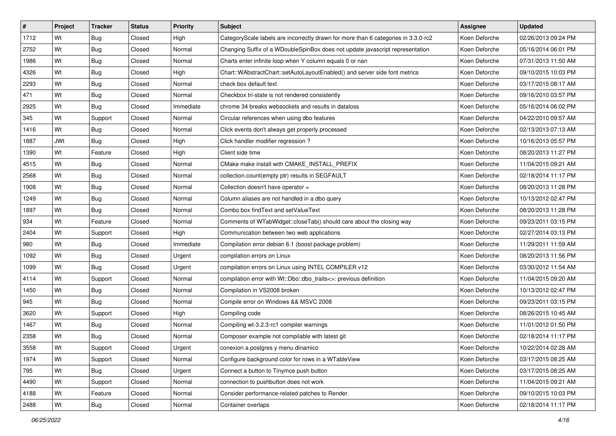| $\vert$ # | Project    | <b>Tracker</b> | <b>Status</b> | <b>Priority</b> | <b>Subject</b>                                                                     | <b>Assignee</b> | <b>Updated</b>      |
|-----------|------------|----------------|---------------|-----------------|------------------------------------------------------------------------------------|-----------------|---------------------|
| 1712      | Wt         | <b>Bug</b>     | Closed        | High            | CategoryScale labels are incorrectly drawn for more than 6 categories in 3.3.0-rc2 | Koen Deforche   | 02/26/2013 09:24 PM |
| 2752      | Wt         | <b>Bug</b>     | Closed        | Normal          | Changing Suffix of a WDoubleSpinBox does not update javascript representation      | Koen Deforche   | 05/16/2014 06:01 PM |
| 1986      | Wt         | <b>Bug</b>     | Closed        | Normal          | Charts enter infinite loop when Y column equals 0 or nan                           | Koen Deforche   | 07/31/2013 11:50 AM |
| 4326      | Wt         | <b>Bug</b>     | Closed        | High            | Chart::WAbstractChart::setAutoLayoutEnabled() and server side font metrics         | Koen Deforche   | 09/10/2015 10:03 PM |
| 2293      | Wt         | Bug            | Closed        | Normal          | check box default text                                                             | Koen Deforche   | 03/17/2015 08:17 AM |
| 471       | Wt         | Bug            | Closed        | Normal          | Checkbox tri-state is not rendered consistently                                    | Koen Deforche   | 09/16/2010 03:57 PM |
| 2925      | Wt         | <b>Bug</b>     | Closed        | Immediate       | chrome 34 breaks websockets and results in dataloss                                | Koen Deforche   | 05/16/2014 06:02 PM |
| 345       | Wt         | Support        | Closed        | Normal          | Circular references when using dbo features                                        | Koen Deforche   | 04/22/2010 09:57 AM |
| 1416      | Wt         | <b>Bug</b>     | Closed        | Normal          | Click events don't always get properly processed                                   | Koen Deforche   | 02/13/2013 07:13 AM |
| 1887      | <b>JWt</b> | Bug            | Closed        | High            | Click handler modifier regression?                                                 | Koen Deforche   | 10/16/2013 05:57 PM |
| 1390      | Wt         | Feature        | Closed        | High            | Client side time                                                                   | Koen Deforche   | 08/20/2013 11:27 PM |
| 4515      | Wt         | <b>Bug</b>     | Closed        | Normal          | CMake make install with CMAKE INSTALL PREFIX                                       | Koen Deforche   | 11/04/2015 09:21 AM |
| 2568      | Wt         | Bug            | Closed        | Normal          | collection.count(empty ptr) results in SEGFAULT                                    | Koen Deforche   | 02/18/2014 11:17 PM |
| 1908      | Wt         | Bug            | Closed        | Normal          | Collection doesn't have operator =                                                 | Koen Deforche   | 08/20/2013 11:28 PM |
| 1249      | Wt         | <b>Bug</b>     | Closed        | Normal          | Column aliases are not handled in a dbo query                                      | Koen Deforche   | 10/13/2012 02:47 PM |
| 1897      | Wt         | Bug            | Closed        | Normal          | Combo box find Text and set Value Text                                             | Koen Deforche   | 08/20/2013 11:28 PM |
| 934       | Wt         | Feature        | Closed        | Normal          | Comments of WTabWidget::closeTab() should care about the closing way               | Koen Deforche   | 09/23/2011 03:15 PM |
| 2404      | Wt         | Support        | Closed        | High            | Communication between two web applications                                         | Koen Deforche   | 02/27/2014 03:13 PM |
| 980       | Wt         | <b>Bug</b>     | Closed        | Immediate       | Compilation error debian 6.1 (boost package problem)                               | Koen Deforche   | 11/29/2011 11:59 AM |
| 1092      | Wt         | <b>Bug</b>     | Closed        | Urgent          | compilation errors on Linux                                                        | Koen Deforche   | 08/20/2013 11:56 PM |
| 1099      | Wt         | <b>Bug</b>     | Closed        | Urgent          | compilation errors on Linux using INTEL COMPILER v12                               | Koen Deforche   | 03/30/2012 11:54 AM |
| 4114      | Wt         | Support        | Closed        | Normal          | compilation error with Wt::Dbo::dbo_traits<>: previous definition                  | Koen Deforche   | 11/04/2015 09:20 AM |
| 1450      | Wt         | Bug            | Closed        | Normal          | Compilation in VS2008 broken                                                       | Koen Deforche   | 10/13/2012 02:47 PM |
| 945       | Wt         | <b>Bug</b>     | Closed        | Normal          | Compile error on Windows && MSVC 2008                                              | Koen Deforche   | 09/23/2011 03:15 PM |
| 3620      | Wt         | Support        | Closed        | High            | Compiling code                                                                     | Koen Deforche   | 08/26/2015 10:45 AM |
| 1467      | Wt         | <b>Bug</b>     | Closed        | Normal          | Compiling wt-3.2.3-rc1 compiler warnings                                           | Koen Deforche   | 11/01/2012 01:50 PM |
| 2358      | Wt         | Bug            | Closed        | Normal          | Composer example not compilable with latest git                                    | Koen Deforche   | 02/18/2014 11:17 PM |
| 3558      | Wt         | Support        | Closed        | Urgent          | conexion a postgres y menu dinamico                                                | Koen Deforche   | 10/22/2014 02:28 AM |
| 1974      | Wt         | Support        | Closed        | Normal          | Configure background color for rows in a WTableView                                | Koen Deforche   | 03/17/2015 08:25 AM |
| 795       | Wt         | <b>Bug</b>     | Closed        | Urgent          | Connect a button to Tinymce push button                                            | Koen Deforche   | 03/17/2015 08:25 AM |
| 4490      | Wt         | Support        | Closed        | Normal          | connection to pushbutton does not work                                             | Koen Deforche   | 11/04/2015 09:21 AM |
| 4188      | Wt         | Feature        | Closed        | Normal          | Consider performance-related patches to Render.                                    | Koen Deforche   | 09/10/2015 10:03 PM |
| 2488      | Wt         | Bug            | Closed        | Normal          | Container overlaps                                                                 | Koen Deforche   | 02/18/2014 11:17 PM |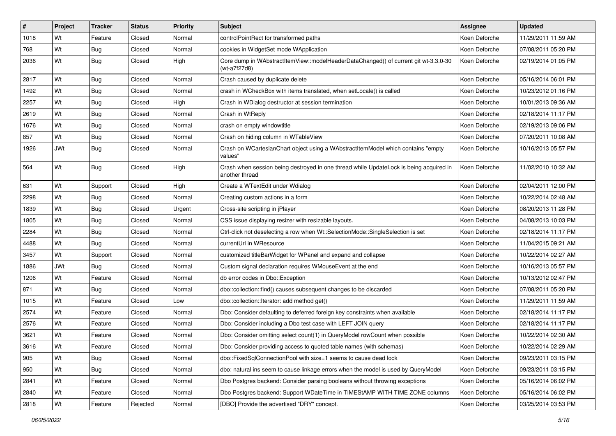| #    | Project    | <b>Tracker</b> | <b>Status</b> | <b>Priority</b> | <b>Subject</b>                                                                                           | <b>Assignee</b> | <b>Updated</b>      |
|------|------------|----------------|---------------|-----------------|----------------------------------------------------------------------------------------------------------|-----------------|---------------------|
| 1018 | Wt         | Feature        | Closed        | Normal          | controlPointRect for transformed paths                                                                   | Koen Deforche   | 11/29/2011 11:59 AM |
| 768  | Wt         | <b>Bug</b>     | Closed        | Normal          | cookies in WidgetSet mode WApplication                                                                   | Koen Deforche   | 07/08/2011 05:20 PM |
| 2036 | Wt         | <b>Bug</b>     | Closed        | High            | Core dump in WAbstractItemView::modelHeaderDataChanged() of current git wt-3.3.0-30<br>(wt-a7f27d8)      | Koen Deforche   | 02/19/2014 01:05 PM |
| 2817 | Wt         | <b>Bug</b>     | Closed        | Normal          | Crash caused by duplicate delete                                                                         | Koen Deforche   | 05/16/2014 06:01 PM |
| 1492 | Wt         | <b>Bug</b>     | Closed        | Normal          | crash in WCheckBox with items translated, when setLocale() is called                                     | Koen Deforche   | 10/23/2012 01:16 PM |
| 2257 | Wt         | <b>Bug</b>     | Closed        | High            | Crash in WDialog destructor at session termination                                                       | Koen Deforche   | 10/01/2013 09:36 AM |
| 2619 | Wt         | Bug            | Closed        | Normal          | Crash in WtReply                                                                                         | Koen Deforche   | 02/18/2014 11:17 PM |
| 1676 | Wt         | <b>Bug</b>     | Closed        | Normal          | crash on empty windowtitle                                                                               | Koen Deforche   | 02/19/2013 09:06 PM |
| 857  | Wt         | <b>Bug</b>     | Closed        | Normal          | Crash on hiding column in WTableView                                                                     | Koen Deforche   | 07/20/2011 10:08 AM |
| 1926 | <b>JWt</b> | <b>Bug</b>     | Closed        | Normal          | Crash on WCartesianChart object using a WAbstractItemModel which contains "empty<br>values"              | Koen Deforche   | 10/16/2013 05:57 PM |
| 564  | Wt         | Bug            | Closed        | High            | Crash when session being destroyed in one thread while UpdateLock is being acquired in<br>another thread | Koen Deforche   | 11/02/2010 10:32 AM |
| 631  | Wt         | Support        | Closed        | High            | Create a WTextEdit under Wdialog                                                                         | Koen Deforche   | 02/04/2011 12:00 PM |
| 2298 | Wt         | <b>Bug</b>     | Closed        | Normal          | Creating custom actions in a form                                                                        | Koen Deforche   | 10/22/2014 02:48 AM |
| 1839 | Wt         | <b>Bug</b>     | Closed        | Urgent          | Cross-site scripting in jPlayer                                                                          | Koen Deforche   | 08/20/2013 11:28 PM |
| 1805 | Wt         | <b>Bug</b>     | Closed        | Normal          | CSS issue displaying resizer with resizable layouts.                                                     | Koen Deforche   | 04/08/2013 10:03 PM |
| 2284 | Wt         | <b>Bug</b>     | Closed        | Normal          | Ctrl-click not deselecting a row when Wt::SelectionMode::SingleSelection is set                          | Koen Deforche   | 02/18/2014 11:17 PM |
| 4488 | Wt         | <b>Bug</b>     | Closed        | Normal          | currentUrl in WResource                                                                                  | Koen Deforche   | 11/04/2015 09:21 AM |
| 3457 | Wt         | Support        | Closed        | Normal          | customized titleBarWidget for WPanel and expand and collapse                                             | Koen Deforche   | 10/22/2014 02:27 AM |
| 1886 | <b>JWt</b> | Bug            | Closed        | Normal          | Custom signal declaration requires WMouseEvent at the end                                                | Koen Deforche   | 10/16/2013 05:57 PM |
| 1206 | Wt         | Feature        | Closed        | Normal          | db error codes in Dbo:: Exception                                                                        | Koen Deforche   | 10/13/2012 02:47 PM |
| 871  | Wt         | Bug            | Closed        | Normal          | dbo::collection::find() causes subsequent changes to be discarded                                        | Koen Deforche   | 07/08/2011 05:20 PM |
| 1015 | Wt         | Feature        | Closed        | Low             | dbo::collection::lterator: add method get()                                                              | Koen Deforche   | 11/29/2011 11:59 AM |
| 2574 | Wt         | Feature        | Closed        | Normal          | Dbo: Consider defaulting to deferred foreign key constraints when available                              | Koen Deforche   | 02/18/2014 11:17 PM |
| 2576 | Wt         | Feature        | Closed        | Normal          | Dbo: Consider including a Dbo test case with LEFT JOIN query                                             | Koen Deforche   | 02/18/2014 11:17 PM |
| 3621 | Wt         | Feature        | Closed        | Normal          | Dbo: Consider omitting select count(1) in QueryModel rowCount when possible                              | Koen Deforche   | 10/22/2014 02:30 AM |
| 3616 | Wt         | Feature        | Closed        | Normal          | Dbo: Consider providing access to quoted table names (with schemas)                                      | Koen Deforche   | 10/22/2014 02:29 AM |
| 905  | Wt         | <b>Bug</b>     | Closed        | Normal          | dbo::FixedSqlConnectionPool with size=1 seems to cause dead lock                                         | Koen Deforche   | 09/23/2011 03:15 PM |
| 950  | Wt         | <b>Bug</b>     | Closed        | Normal          | dbo: natural ins seem to cause linkage errors when the model is used by QueryModel                       | Koen Deforche   | 09/23/2011 03:15 PM |
| 2841 | Wt         | Feature        | Closed        | Normal          | Dbo Postgres backend: Consider parsing booleans without throwing exceptions                              | Koen Deforche   | 05/16/2014 06:02 PM |
| 2840 | Wt         | Feature        | Closed        | Normal          | Dbo Postgres backend: Support WDateTime in TIMEStAMP WITH TIME ZONE columns                              | Koen Deforche   | 05/16/2014 06:02 PM |
| 2818 | Wt         | Feature        | Rejected      | Normal          | [DBO] Provide the advertised "DRY" concept.                                                              | Koen Deforche   | 03/25/2014 03:53 PM |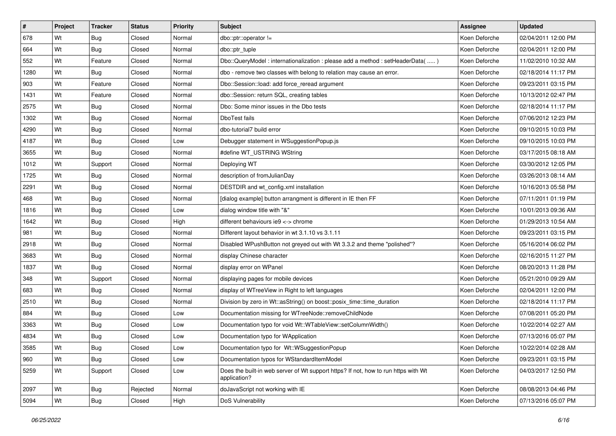| #    | Project | <b>Tracker</b> | <b>Status</b> | <b>Priority</b> | <b>Subject</b>                                                                                     | <b>Assignee</b> | <b>Updated</b>      |
|------|---------|----------------|---------------|-----------------|----------------------------------------------------------------------------------------------------|-----------------|---------------------|
| 678  | Wt      | Bug            | Closed        | Normal          | dbo::ptr::operator                                                                                 | Koen Deforche   | 02/04/2011 12:00 PM |
| 664  | Wt      | <b>Bug</b>     | Closed        | Normal          | dbo::ptr_tuple                                                                                     | Koen Deforche   | 02/04/2011 12:00 PM |
| 552  | Wt      | Feature        | Closed        | Normal          | Dbo::QueryModel: internationalization: please add a method: setHeaderData()                        | Koen Deforche   | 11/02/2010 10:32 AM |
| 1280 | Wt      | <b>Bug</b>     | Closed        | Normal          | dbo - remove two classes with belong to relation may cause an error.                               | Koen Deforche   | 02/18/2014 11:17 PM |
| 903  | Wt      | Feature        | Closed        | Normal          | Dbo::Session::load: add force_reread argument                                                      | Koen Deforche   | 09/23/2011 03:15 PM |
| 1431 | Wt      | Feature        | Closed        | Normal          | dbo::Session: return SQL, creating tables                                                          | Koen Deforche   | 10/13/2012 02:47 PM |
| 2575 | Wt      | <b>Bug</b>     | Closed        | Normal          | Dbo: Some minor issues in the Dbo tests                                                            | Koen Deforche   | 02/18/2014 11:17 PM |
| 1302 | Wt      | <b>Bug</b>     | Closed        | Normal          | DboTest fails                                                                                      | Koen Deforche   | 07/06/2012 12:23 PM |
| 4290 | Wt      | <b>Bug</b>     | Closed        | Normal          | dbo-tutorial7 build error                                                                          | Koen Deforche   | 09/10/2015 10:03 PM |
| 4187 | Wt      | <b>Bug</b>     | Closed        | Low             | Debugger statement in WSuggestionPopup.js                                                          | Koen Deforche   | 09/10/2015 10:03 PM |
| 3655 | Wt      | Bug            | Closed        | Normal          | #define WT USTRING WString                                                                         | Koen Deforche   | 03/17/2015 08:18 AM |
| 1012 | Wt      | Support        | Closed        | Normal          | Deploying WT                                                                                       | Koen Deforche   | 03/30/2012 12:05 PM |
| 1725 | Wt      | <b>Bug</b>     | Closed        | Normal          | description of fromJulianDay                                                                       | Koen Deforche   | 03/26/2013 08:14 AM |
| 2291 | Wt      | Bug            | Closed        | Normal          | DESTDIR and wt_config.xml installation                                                             | Koen Deforche   | 10/16/2013 05:58 PM |
| 468  | Wt      | <b>Bug</b>     | Closed        | Normal          | [dialog example] button arrangment is different in IE then FF                                      | Koen Deforche   | 07/11/2011 01:19 PM |
| 1816 | Wt      | <b>Bug</b>     | Closed        | Low             | dialog window title with "&"                                                                       | Koen Deforche   | 10/01/2013 09:36 AM |
| 1642 | Wt      | <b>Bug</b>     | Closed        | High            | different behaviours ie 9 <-> chrome                                                               | Koen Deforche   | 01/29/2013 10:54 AM |
| 981  | Wt      | <b>Bug</b>     | Closed        | Normal          | Different layout behavior in wt 3.1.10 vs 3.1.11                                                   | Koen Deforche   | 09/23/2011 03:15 PM |
| 2918 | Wt      | <b>Bug</b>     | Closed        | Normal          | Disabled WPushButton not greyed out with Wt 3.3.2 and theme "polished"?                            | Koen Deforche   | 05/16/2014 06:02 PM |
| 3683 | Wt      | <b>Bug</b>     | Closed        | Normal          | display Chinese character                                                                          | Koen Deforche   | 02/16/2015 11:27 PM |
| 1837 | Wt      | Bug            | Closed        | Normal          | display error on WPanel                                                                            | Koen Deforche   | 08/20/2013 11:28 PM |
| 348  | Wt      | Support        | Closed        | Normal          | displaying pages for mobile devices                                                                | Koen Deforche   | 05/21/2010 09:29 AM |
| 683  | Wt      | <b>Bug</b>     | Closed        | Normal          | display of WTreeView in Right to left languages                                                    | Koen Deforche   | 02/04/2011 12:00 PM |
| 2510 | Wt      | Bug            | Closed        | Normal          | Division by zero in Wt::asString() on boost::posix_time::time_duration                             | Koen Deforche   | 02/18/2014 11:17 PM |
| 884  | Wt      | <b>Bug</b>     | Closed        | Low             | Documentation missing for WTreeNode::removeChildNode                                               | Koen Deforche   | 07/08/2011 05:20 PM |
| 3363 | Wt      | <b>Bug</b>     | Closed        | Low             | Documentation typo for void Wt::WTableView::setColumnWidth()                                       | Koen Deforche   | 10/22/2014 02:27 AM |
| 4834 | Wt      | <b>Bug</b>     | Closed        | Low             | Documentation typo for WApplication                                                                | Koen Deforche   | 07/13/2016 05:07 PM |
| 3585 | Wt      | <b>Bug</b>     | Closed        | Low             | Documentation typo for Wt::WSuggestionPopup                                                        | Koen Deforche   | 10/22/2014 02:28 AM |
| 960  | Wt      | Bug            | Closed        | Low             | Documentation typos for WStandardItemModel                                                         | Koen Deforche   | 09/23/2011 03:15 PM |
| 5259 | Wt      | Support        | Closed        | Low             | Does the built-in web server of Wt support https? If not, how to run https with Wt<br>application? | Koen Deforche   | 04/03/2017 12:50 PM |
| 2097 | Wt      | <b>Bug</b>     | Rejected      | Normal          | doJavaScript not working with IE                                                                   | Koen Deforche   | 08/08/2013 04:46 PM |
| 5094 | Wt      | Bug            | Closed        | High            | DoS Vulnerability                                                                                  | Koen Deforche   | 07/13/2016 05:07 PM |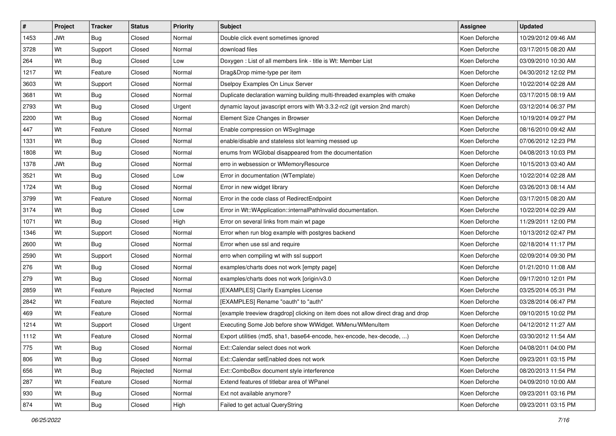| $\vert$ # | Project    | <b>Tracker</b> | <b>Status</b> | <b>Priority</b> | <b>Subject</b>                                                                   | Assignee      | <b>Updated</b>      |
|-----------|------------|----------------|---------------|-----------------|----------------------------------------------------------------------------------|---------------|---------------------|
| 1453      | <b>JWt</b> | <b>Bug</b>     | Closed        | Normal          | Double click event sometimes ignored                                             | Koen Deforche | 10/29/2012 09:46 AM |
| 3728      | Wt         | Support        | Closed        | Normal          | download files                                                                   | Koen Deforche | 03/17/2015 08:20 AM |
| 264       | Wt         | <b>Bug</b>     | Closed        | Low             | Doxygen: List of all members link - title is Wt: Member List                     | Koen Deforche | 03/09/2010 10:30 AM |
| 1217      | Wt         | Feature        | Closed        | Normal          | Drag&Drop mime-type per item                                                     | Koen Deforche | 04/30/2012 12:02 PM |
| 3603      | Wt         | Support        | Closed        | Normal          | Dselpoy Examples On Linux Server                                                 | Koen Deforche | 10/22/2014 02:28 AM |
| 3681      | Wt         | <b>Bug</b>     | Closed        | Normal          | Duplicate declaration warning building multi-threaded examples with cmake        | Koen Deforche | 03/17/2015 08:19 AM |
| 2793      | Wt         | <b>Bug</b>     | Closed        | Urgent          | dynamic layout javascript errors with Wt-3.3.2-rc2 (git version 2nd march)       | Koen Deforche | 03/12/2014 06:37 PM |
| 2200      | Wt         | Bug            | Closed        | Normal          | Element Size Changes in Browser                                                  | Koen Deforche | 10/19/2014 09:27 PM |
| 447       | Wt         | Feature        | Closed        | Normal          | Enable compression on WSvgImage                                                  | Koen Deforche | 08/16/2010 09:42 AM |
| 1331      | Wt         | <b>Bug</b>     | Closed        | Normal          | enable/disable and stateless slot learning messed up                             | Koen Deforche | 07/06/2012 12:23 PM |
| 1808      | Wt         | <b>Bug</b>     | Closed        | Normal          | enums from WGlobal disappeared from the documentation                            | Koen Deforche | 04/08/2013 10:03 PM |
| 1378      | <b>JWt</b> | <b>Bug</b>     | Closed        | Normal          | erro in websession or WMemoryResource                                            | Koen Deforche | 10/15/2013 03:40 AM |
| 3521      | Wt         | Bug            | Closed        | Low             | Error in documentation (WTemplate)                                               | Koen Deforche | 10/22/2014 02:28 AM |
| 1724      | Wt         | Bug            | Closed        | Normal          | Error in new widget library                                                      | Koen Deforche | 03/26/2013 08:14 AM |
| 3799      | Wt         | Feature        | Closed        | Normal          | Error in the code class of RedirectEndpoint                                      | Koen Deforche | 03/17/2015 08:20 AM |
| 3174      | Wt         | <b>Bug</b>     | Closed        | Low             | Error in Wt::WApplication::internalPathInvalid documentation.                    | Koen Deforche | 10/22/2014 02:29 AM |
| 1071      | Wt         | Bug            | Closed        | High            | Error on several links from main wt page                                         | Koen Deforche | 11/29/2011 12:00 PM |
| 1346      | Wt         | Support        | Closed        | Normal          | Error when run blog example with postgres backend                                | Koen Deforche | 10/13/2012 02:47 PM |
| 2600      | Wt         | Bug            | Closed        | Normal          | Error when use ssl and require                                                   | Koen Deforche | 02/18/2014 11:17 PM |
| 2590      | Wt         | Support        | Closed        | Normal          | erro when compiling wt with ssl support                                          | Koen Deforche | 02/09/2014 09:30 PM |
| 276       | Wt         | <b>Bug</b>     | Closed        | Normal          | examples/charts does not work [empty page]                                       | Koen Deforche | 01/21/2010 11:08 AM |
| 279       | Wt         | <b>Bug</b>     | Closed        | Normal          | examples/charts does not work [origin/v3.0]                                      | Koen Deforche | 09/17/2010 12:01 PM |
| 2859      | Wt         | Feature        | Rejected      | Normal          | [EXAMPLES] Clarify Examples License                                              | Koen Deforche | 03/25/2014 05:31 PM |
| 2842      | Wt         | Feature        | Rejected      | Normal          | [EXAMPLES] Rename "oauth" to "auth"                                              | Koen Deforche | 03/28/2014 06:47 PM |
| 469       | Wt         | Feature        | Closed        | Normal          | [example treeview dragdrop] clicking on item does not allow direct drag and drop | Koen Deforche | 09/10/2015 10:02 PM |
| 1214      | Wt         | Support        | Closed        | Urgent          | Executing Some Job before show WWidget. WMenu/WMenuItem                          | Koen Deforche | 04/12/2012 11:27 AM |
| 1112      | Wt         | Feature        | Closed        | Normal          | Export utilities (md5, sha1, base64-encode, hex-encode, hex-decode, )            | Koen Deforche | 03/30/2012 11:54 AM |
| 775       | Wt         | Bug            | Closed        | Normal          | Ext::Calendar select does not work                                               | Koen Deforche | 04/08/2011 04:00 PM |
| 806       | Wt         | Bug            | Closed        | Normal          | Ext::Calendar setEnabled does not work                                           | Koen Deforche | 09/23/2011 03:15 PM |
| 656       | Wt         | <b>Bug</b>     | Rejected      | Normal          | Ext::ComboBox document style interference                                        | Koen Deforche | 08/20/2013 11:54 PM |
| 287       | Wt         | Feature        | Closed        | Normal          | Extend features of titlebar area of WPanel                                       | Koen Deforche | 04/09/2010 10:00 AM |
| 930       | Wt         | <b>Bug</b>     | Closed        | Normal          | Ext not available anymore?                                                       | Koen Deforche | 09/23/2011 03:16 PM |
| 874       | Wt         | <b>Bug</b>     | Closed        | High            | Failed to get actual QueryString                                                 | Koen Deforche | 09/23/2011 03:15 PM |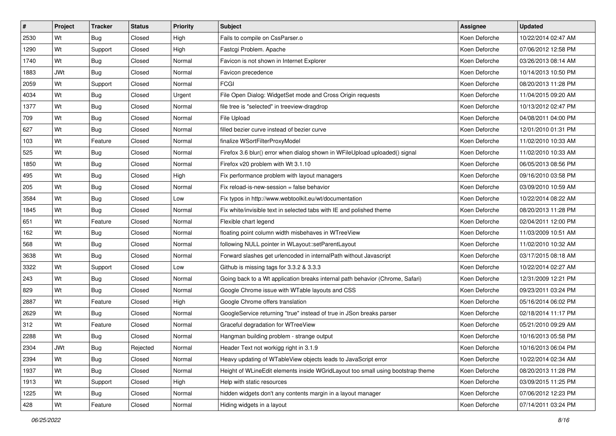| #    | Project    | <b>Tracker</b> | <b>Status</b> | <b>Priority</b> | <b>Subject</b>                                                                  | <b>Assignee</b> | <b>Updated</b>      |
|------|------------|----------------|---------------|-----------------|---------------------------------------------------------------------------------|-----------------|---------------------|
| 2530 | Wt         | Bug            | Closed        | High            | Fails to compile on CssParser.o                                                 | Koen Deforche   | 10/22/2014 02:47 AM |
| 1290 | Wt         | Support        | Closed        | High            | Fastcgi Problem. Apache                                                         | Koen Deforche   | 07/06/2012 12:58 PM |
| 1740 | Wt         | <b>Bug</b>     | Closed        | Normal          | Favicon is not shown in Internet Explorer                                       | Koen Deforche   | 03/26/2013 08:14 AM |
| 1883 | <b>JWt</b> | <b>Bug</b>     | Closed        | Normal          | Favicon precedence                                                              | Koen Deforche   | 10/14/2013 10:50 PM |
| 2059 | Wt         | Support        | Closed        | Normal          | <b>FCGI</b>                                                                     | Koen Deforche   | 08/20/2013 11:28 PM |
| 4034 | Wt         | <b>Bug</b>     | Closed        | Urgent          | File Open Dialog: WidgetSet mode and Cross Origin requests                      | Koen Deforche   | 11/04/2015 09:20 AM |
| 1377 | Wt         | Bug            | Closed        | Normal          | file tree is "selected" in treeview-dragdrop                                    | Koen Deforche   | 10/13/2012 02:47 PM |
| 709  | Wt         | <b>Bug</b>     | Closed        | Normal          | File Upload                                                                     | Koen Deforche   | 04/08/2011 04:00 PM |
| 627  | Wt         | <b>Bug</b>     | Closed        | Normal          | filled bezier curve instead of bezier curve                                     | Koen Deforche   | 12/01/2010 01:31 PM |
| 103  | Wt         | Feature        | Closed        | Normal          | finalize WSortFilterProxyModel                                                  | Koen Deforche   | 11/02/2010 10:33 AM |
| 525  | Wt         | <b>Bug</b>     | Closed        | Normal          | Firefox 3.6 blur() error when dialog shown in WFileUpload uploaded() signal     | Koen Deforche   | 11/02/2010 10:33 AM |
| 1850 | Wt         | <b>Bug</b>     | Closed        | Normal          | Firefox v20 problem with Wt 3.1.10                                              | Koen Deforche   | 06/05/2013 08:56 PM |
| 495  | Wt         | Bug            | Closed        | High            | Fix performance problem with layout managers                                    | Koen Deforche   | 09/16/2010 03:58 PM |
| 205  | Wt         | Bug            | Closed        | Normal          | Fix reload-is-new-session = false behavior                                      | Koen Deforche   | 03/09/2010 10:59 AM |
| 3584 | Wt         | <b>Bug</b>     | Closed        | Low             | Fix typos in http://www.webtoolkit.eu/wt/documentation                          | Koen Deforche   | 10/22/2014 08:22 AM |
| 1845 | Wt         | <b>Bug</b>     | Closed        | Normal          | Fix white/invisible text in selected tabs with IE and polished theme            | Koen Deforche   | 08/20/2013 11:28 PM |
| 651  | Wt         | Feature        | Closed        | Normal          | Flexible chart legend                                                           | Koen Deforche   | 02/04/2011 12:00 PM |
| 162  | Wt         | <b>Bug</b>     | Closed        | Normal          | floating point column width misbehaves in WTreeView                             | Koen Deforche   | 11/03/2009 10:51 AM |
| 568  | Wt         | <b>Bug</b>     | Closed        | Normal          | following NULL pointer in WLayout::setParentLayout                              | Koen Deforche   | 11/02/2010 10:32 AM |
| 3638 | Wt         | <b>Bug</b>     | Closed        | Normal          | Forward slashes get urlencoded in internalPath without Javascript               | Koen Deforche   | 03/17/2015 08:18 AM |
| 3322 | Wt         | Support        | Closed        | Low             | Github is missing tags for 3.3.2 & 3.3.3                                        | Koen Deforche   | 10/22/2014 02:27 AM |
| 243  | Wt         | <b>Bug</b>     | Closed        | Normal          | Going back to a Wt application breaks internal path behavior (Chrome, Safari)   | Koen Deforche   | 12/31/2009 12:21 PM |
| 829  | Wt         | Bug            | Closed        | Normal          | Google Chrome issue with WTable layouts and CSS                                 | Koen Deforche   | 09/23/2011 03:24 PM |
| 2887 | Wt         | Feature        | Closed        | High            | Google Chrome offers translation                                                | Koen Deforche   | 05/16/2014 06:02 PM |
| 2629 | Wt         | <b>Bug</b>     | Closed        | Normal          | GoogleService returning "true" instead of true in JSon breaks parser            | Koen Deforche   | 02/18/2014 11:17 PM |
| 312  | Wt         | Feature        | Closed        | Normal          | Graceful degradation for WTreeView                                              | Koen Deforche   | 05/21/2010 09:29 AM |
| 2288 | Wt         | <b>Bug</b>     | Closed        | Normal          | Hangman building problem - strange output                                       | Koen Deforche   | 10/16/2013 05:58 PM |
| 2304 | JWt        | <b>Bug</b>     | Rejected      | Normal          | Header Text not workigg right in 3.1.9                                          | Koen Deforche   | 10/16/2013 06:04 PM |
| 2394 | Wt         | Bug            | Closed        | Normal          | Heavy updating of WTableView objects leads to JavaScript error                  | Koen Deforche   | 10/22/2014 02:34 AM |
| 1937 | Wt         | <b>Bug</b>     | Closed        | Normal          | Height of WLineEdit elements inside WGridLayout too small using bootstrap theme | Koen Deforche   | 08/20/2013 11:28 PM |
| 1913 | Wt         | Support        | Closed        | High            | Help with static resources                                                      | Koen Deforche   | 03/09/2015 11:25 PM |
| 1225 | Wt         | <b>Bug</b>     | Closed        | Normal          | hidden widgets don't any contents margin in a layout manager                    | Koen Deforche   | 07/06/2012 12:23 PM |
| 428  | Wt         | Feature        | Closed        | Normal          | Hiding widgets in a layout                                                      | Koen Deforche   | 07/14/2011 03:24 PM |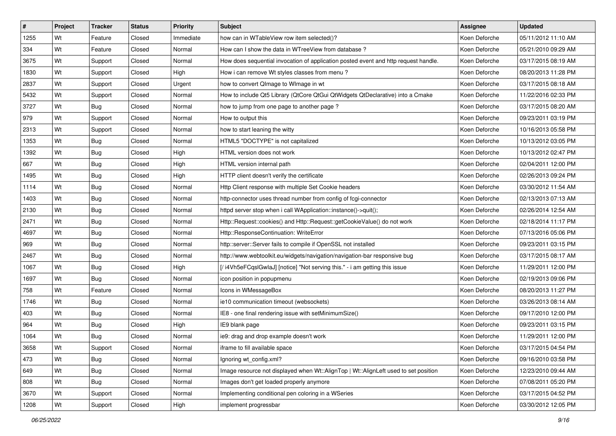| $\vert$ # | Project | <b>Tracker</b> | <b>Status</b> | <b>Priority</b> | <b>Subject</b>                                                                      | <b>Assignee</b> | <b>Updated</b>      |
|-----------|---------|----------------|---------------|-----------------|-------------------------------------------------------------------------------------|-----------------|---------------------|
| 1255      | Wt      | Feature        | Closed        | Immediate       | how can in WTableView row item selected()?                                          | Koen Deforche   | 05/11/2012 11:10 AM |
| 334       | Wt      | Feature        | Closed        | Normal          | How can I show the data in WTreeView from database?                                 | Koen Deforche   | 05/21/2010 09:29 AM |
| 3675      | Wt      | Support        | Closed        | Normal          | How does sequential invocation of application posted event and http request handle. | Koen Deforche   | 03/17/2015 08:19 AM |
| 1830      | Wt      | Support        | Closed        | High            | How i can remove Wt styles classes from menu?                                       | Koen Deforche   | 08/20/2013 11:28 PM |
| 2837      | Wt      | Support        | Closed        | Urgent          | how to convert QImage to WImage in wt                                               | Koen Deforche   | 03/17/2015 08:18 AM |
| 5432      | Wt      | Support        | Closed        | Normal          | How to include Qt5 Library (QtCore QtGui QtWidgets QtDeclarative) into a Cmake      | Koen Deforche   | 11/22/2016 02:33 PM |
| 3727      | Wt      | <b>Bug</b>     | Closed        | Normal          | how to jump from one page to another page?                                          | Koen Deforche   | 03/17/2015 08:20 AM |
| 979       | Wt      | Support        | Closed        | Normal          | How to output this                                                                  | Koen Deforche   | 09/23/2011 03:19 PM |
| 2313      | Wt      | Support        | Closed        | Normal          | how to start leaning the witty                                                      | Koen Deforche   | 10/16/2013 05:58 PM |
| 1353      | Wt      | <b>Bug</b>     | Closed        | Normal          | HTML5 "DOCTYPE" is not capitalized                                                  | Koen Deforche   | 10/13/2012 03:05 PM |
| 1392      | Wt      | <b>Bug</b>     | Closed        | High            | HTML version does not work                                                          | Koen Deforche   | 10/13/2012 02:47 PM |
| 667       | Wt      | <b>Bug</b>     | Closed        | High            | HTML version internal path                                                          | Koen Deforche   | 02/04/2011 12:00 PM |
| 1495      | Wt      | <b>Bug</b>     | Closed        | High            | HTTP client doesn't verify the certificate                                          | Koen Deforche   | 02/26/2013 09:24 PM |
| 1114      | Wt      | <b>Bug</b>     | Closed        | Normal          | Http Client response with multiple Set Cookie headers                               | Koen Deforche   | 03/30/2012 11:54 AM |
| 1403      | Wt      | <b>Bug</b>     | Closed        | Normal          | http-connector uses thread number from config of fcgi-connector                     | Koen Deforche   | 02/13/2013 07:13 AM |
| 2130      | Wt      | <b>Bug</b>     | Closed        | Normal          | httpd server stop when i call WApplication::instance()->quit();                     | Koen Deforche   | 02/26/2014 12:54 AM |
| 2471      | Wt      | <b>Bug</b>     | Closed        | Normal          | Http::Request::cookies() and Http::Request::getCookieValue() do not work            | Koen Deforche   | 02/18/2014 11:17 PM |
| 4697      | Wt      | <b>Bug</b>     | Closed        | Normal          | Http::ResponseContinuation: WriteError                                              | Koen Deforche   | 07/13/2016 05:06 PM |
| 969       | Wt      | <b>Bug</b>     | Closed        | Normal          | http::server::Server fails to compile if OpenSSL not installed                      | Koen Deforche   | 09/23/2011 03:15 PM |
| 2467      | Wt      | <b>Bug</b>     | Closed        | Normal          | http://www.webtoolkit.eu/widgets/navigation/navigation-bar responsive bug           | Koen Deforche   | 03/17/2015 08:17 AM |
| 1067      | Wt      | <b>Bug</b>     | Closed        | High            | [/i4Vh5eFCqslGwlaJ] [notice] "Not serving this." - i am getting this issue          | Koen Deforche   | 11/29/2011 12:00 PM |
| 1697      | Wt      | Bug            | Closed        | Normal          | icon position in popupmenu                                                          | Koen Deforche   | 02/19/2013 09:06 PM |
| 758       | Wt      | Feature        | Closed        | Normal          | Icons in WMessageBox                                                                | Koen Deforche   | 08/20/2013 11:27 PM |
| 1746      | Wt      | <b>Bug</b>     | Closed        | Normal          | ie10 communication timeout (websockets)                                             | Koen Deforche   | 03/26/2013 08:14 AM |
| 403       | Wt      | <b>Bug</b>     | Closed        | Normal          | IE8 - one final rendering issue with setMinimumSize()                               | Koen Deforche   | 09/17/2010 12:00 PM |
| 964       | Wt      | <b>Bug</b>     | Closed        | High            | IE9 blank page                                                                      | Koen Deforche   | 09/23/2011 03:15 PM |
| 1064      | Wt      | Bug            | Closed        | Normal          | ie9: drag and drop example doesn't work                                             | Koen Deforche   | 11/29/2011 12:00 PM |
| 3658      | Wt      | Support        | Closed        | Normal          | iframe to fill available space                                                      | Koen Deforche   | 03/17/2015 04:54 PM |
| 473       | Wt      | Bug            | Closed        | Normal          | Ignoring wt config.xml?                                                             | Koen Deforche   | 09/16/2010 03:58 PM |
| 649       | Wt      | <b>Bug</b>     | Closed        | Normal          | Image resource not displayed when Wt::AlignTop   Wt::AlignLeft used to set position | Koen Deforche   | 12/23/2010 09:44 AM |
| 808       | Wt      | Bug            | Closed        | Normal          | Images don't get loaded properly anymore                                            | Koen Deforche   | 07/08/2011 05:20 PM |
| 3670      | Wt      | Support        | Closed        | Normal          | Implementing conditional pen coloring in a WSeries                                  | Koen Deforche   | 03/17/2015 04:52 PM |
| 1208      | Wt      | Support        | Closed        | High            | implement progressbar                                                               | Koen Deforche   | 03/30/2012 12:05 PM |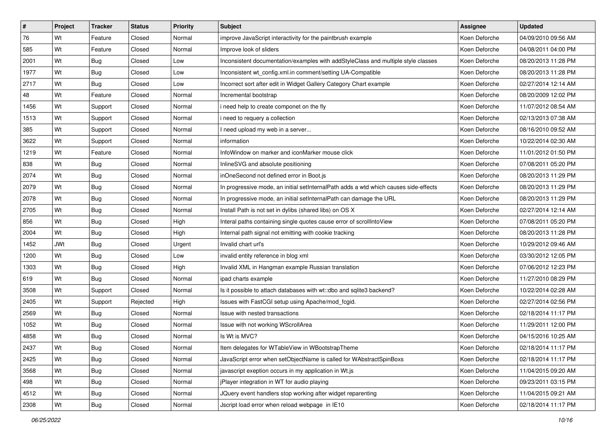| ∦    | Project    | <b>Tracker</b> | <b>Status</b> | <b>Priority</b> | <b>Subject</b>                                                                       | <b>Assignee</b> | <b>Updated</b>      |
|------|------------|----------------|---------------|-----------------|--------------------------------------------------------------------------------------|-----------------|---------------------|
| 76   | Wt         | Feature        | Closed        | Normal          | improve JavaScript interactivity for the paintbrush example                          | Koen Deforche   | 04/09/2010 09:56 AM |
| 585  | Wt         | Feature        | Closed        | Normal          | Improve look of sliders                                                              | Koen Deforche   | 04/08/2011 04:00 PM |
| 2001 | Wt         | <b>Bug</b>     | Closed        | Low             | Inconsistent documentation/examples with addStyleClass and multiple style classes    | Koen Deforche   | 08/20/2013 11:28 PM |
| 1977 | Wt         | <b>Bug</b>     | Closed        | Low             | Inconsistent wt_config.xml.in comment/setting UA-Compatible                          | Koen Deforche   | 08/20/2013 11:28 PM |
| 2717 | Wt         | <b>Bug</b>     | Closed        | Low             | Incorrect sort after edit in Widget Gallery Category Chart example                   | Koen Deforche   | 02/27/2014 12:14 AM |
| 48   | Wt         | Feature        | Closed        | Normal          | Incremental bootstrap                                                                | Koen Deforche   | 08/20/2009 12:02 PM |
| 1456 | Wt         | Support        | Closed        | Normal          | i need help to create componet on the fly                                            | Koen Deforche   | 11/07/2012 08:54 AM |
| 1513 | Wt         | Support        | Closed        | Normal          | i need to requery a collection                                                       | Koen Deforche   | 02/13/2013 07:38 AM |
| 385  | Wt         | Support        | Closed        | Normal          | I need upload my web in a server                                                     | Koen Deforche   | 08/16/2010 09:52 AM |
| 3622 | Wt         | Support        | Closed        | Normal          | information                                                                          | Koen Deforche   | 10/22/2014 02:30 AM |
| 1219 | Wt         | Feature        | Closed        | Normal          | InfoWindow on marker and iconMarker mouse click                                      | Koen Deforche   | 11/01/2012 01:50 PM |
| 838  | Wt         | <b>Bug</b>     | Closed        | Normal          | InlineSVG and absolute positioning                                                   | Koen Deforche   | 07/08/2011 05:20 PM |
| 2074 | Wt         | Bug            | Closed        | Normal          | inOneSecond not defined error in Boot.js                                             | Koen Deforche   | 08/20/2013 11:29 PM |
| 2079 | Wt         | Bug            | Closed        | Normal          | In progressive mode, an initial setInternalPath adds a wtd which causes side-effects | Koen Deforche   | 08/20/2013 11:29 PM |
| 2078 | Wt         | <b>Bug</b>     | Closed        | Normal          | In progressive mode, an initial setInternalPath can damage the URL                   | Koen Deforche   | 08/20/2013 11:29 PM |
| 2705 | Wt         | <b>Bug</b>     | Closed        | Normal          | Install Path is not set in dylibs (shared libs) on OS X                              | Koen Deforche   | 02/27/2014 12:14 AM |
| 856  | Wt         | <b>Bug</b>     | Closed        | High            | Interal paths containing single quotes cause error of scrollIntoView                 | Koen Deforche   | 07/08/2011 05:20 PM |
| 2004 | Wt         | Bug            | Closed        | High            | Internal path signal not emitting with cookie tracking                               | Koen Deforche   | 08/20/2013 11:28 PM |
| 1452 | <b>JWt</b> | <b>Bug</b>     | Closed        | Urgent          | Invalid chart url's                                                                  | Koen Deforche   | 10/29/2012 09:46 AM |
| 1200 | Wt         | <b>Bug</b>     | Closed        | Low             | invalid entity reference in blog xml                                                 | Koen Deforche   | 03/30/2012 12:05 PM |
| 1303 | Wt         | <b>Bug</b>     | Closed        | High            | Invalid XML in Hangman example Russian translation                                   | Koen Deforche   | 07/06/2012 12:23 PM |
| 619  | Wt         | <b>Bug</b>     | Closed        | Normal          | ipad charts example                                                                  | Koen Deforche   | 11/27/2010 08:29 PM |
| 3508 | Wt         | Support        | Closed        | Normal          | Is it possible to attach databases with wt::dbo and sqlite3 backend?                 | Koen Deforche   | 10/22/2014 02:28 AM |
| 2405 | Wt         | Support        | Rejected      | High            | Issues with FastCGI setup using Apache/mod_fcgid.                                    | Koen Deforche   | 02/27/2014 02:56 PM |
| 2569 | Wt         | <b>Bug</b>     | Closed        | Normal          | Issue with nested transactions                                                       | Koen Deforche   | 02/18/2014 11:17 PM |
| 1052 | Wt         | <b>Bug</b>     | Closed        | Normal          | Issue with not working WScrollArea                                                   | Koen Deforche   | 11/29/2011 12:00 PM |
| 4858 | Wt         | <b>Bug</b>     | Closed        | Normal          | Is Wt is MVC?                                                                        | Koen Deforche   | 04/15/2016 10:25 AM |
| 2437 | Wt         | <b>Bug</b>     | Closed        | Normal          | Item delegates for WTableView in WBootstrapTheme                                     | Koen Deforche   | 02/18/2014 11:17 PM |
| 2425 | Wt         | Bug            | Closed        | Normal          | JavaScript error when setObjectName is called for WAbstractSpinBoxs                  | Koen Deforche   | 02/18/2014 11:17 PM |
| 3568 | Wt         | Bug            | Closed        | Normal          | javascript exeption occurs in my application in Wt.js                                | Koen Deforche   | 11/04/2015 09:20 AM |
| 498  | Wt         | <b>Bug</b>     | Closed        | Normal          | jPlayer integration in WT for audio playing                                          | Koen Deforche   | 09/23/2011 03:15 PM |
| 4512 | Wt         | <b>Bug</b>     | Closed        | Normal          | JQuery event handlers stop working after widget reparenting                          | Koen Deforche   | 11/04/2015 09:21 AM |
| 2308 | Wt         | <b>Bug</b>     | Closed        | Normal          | Jscript load error when reload webpage in IE10                                       | Koen Deforche   | 02/18/2014 11:17 PM |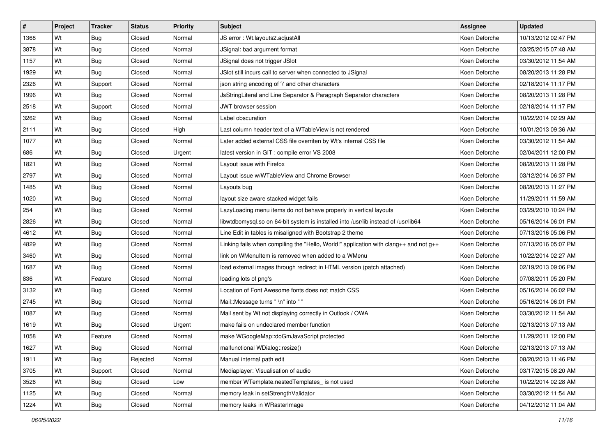| $\vert$ # | Project | <b>Tracker</b> | <b>Status</b> | <b>Priority</b> | Subject                                                                               | <b>Assignee</b> | <b>Updated</b>      |
|-----------|---------|----------------|---------------|-----------------|---------------------------------------------------------------------------------------|-----------------|---------------------|
| 1368      | Wt      | <b>Bug</b>     | Closed        | Normal          | JS error: Wt.layouts2.adjustAll                                                       | Koen Deforche   | 10/13/2012 02:47 PM |
| 3878      | Wt      | <b>Bug</b>     | Closed        | Normal          | JSignal: bad argument format                                                          | Koen Deforche   | 03/25/2015 07:48 AM |
| 1157      | Wt      | <b>Bug</b>     | Closed        | Normal          | JSignal does not trigger JSlot                                                        | Koen Deforche   | 03/30/2012 11:54 AM |
| 1929      | Wt      | <b>Bug</b>     | Closed        | Normal          | JSlot still incurs call to server when connected to JSignal                           | Koen Deforche   | 08/20/2013 11:28 PM |
| 2326      | Wt      | Support        | Closed        | Normal          | json string encoding of '\' and other characters                                      | Koen Deforche   | 02/18/2014 11:17 PM |
| 1996      | Wt      | Bug            | Closed        | Normal          | JsStringLiteral and Line Separator & Paragraph Separator characters                   | Koen Deforche   | 08/20/2013 11:28 PM |
| 2518      | Wt      | Support        | Closed        | Normal          | JWT browser session                                                                   | Koen Deforche   | 02/18/2014 11:17 PM |
| 3262      | Wt      | <b>Bug</b>     | Closed        | Normal          | Label obscuration                                                                     | Koen Deforche   | 10/22/2014 02:29 AM |
| 2111      | Wt      | <b>Bug</b>     | Closed        | High            | Last column header text of a WTableView is not rendered                               | Koen Deforche   | 10/01/2013 09:36 AM |
| 1077      | Wt      | <b>Bug</b>     | Closed        | Normal          | Later added external CSS file overriten by Wt's internal CSS file                     | Koen Deforche   | 03/30/2012 11:54 AM |
| 686       | Wt      | <b>Bug</b>     | Closed        | Urgent          | latest version in GIT : compile error VS 2008                                         | Koen Deforche   | 02/04/2011 12:00 PM |
| 1821      | Wt      | Bug            | Closed        | Normal          | Layout issue with Firefox                                                             | Koen Deforche   | 08/20/2013 11:28 PM |
| 2797      | Wt      | <b>Bug</b>     | Closed        | Normal          | Layout issue w/WTableView and Chrome Browser                                          | Koen Deforche   | 03/12/2014 06:37 PM |
| 1485      | Wt      | <b>Bug</b>     | Closed        | Normal          | Layouts bug                                                                           | Koen Deforche   | 08/20/2013 11:27 PM |
| 1020      | Wt      | <b>Bug</b>     | Closed        | Normal          | layout size aware stacked widget fails                                                | Koen Deforche   | 11/29/2011 11:59 AM |
| 254       | Wt      | <b>Bug</b>     | Closed        | Normal          | LazyLoading menu items do not behave properly in vertical layouts                     | Koen Deforche   | 03/29/2010 10:24 PM |
| 2826      | Wt      | <b>Bug</b>     | Closed        | Normal          | libwtdbomysql.so on 64-bit system is installed into /usr/lib instead of /usr/lib64    | Koen Deforche   | 05/16/2014 06:01 PM |
| 4612      | Wt      | <b>Bug</b>     | Closed        | Normal          | Line Edit in tables is misaligned with Bootstrap 2 theme                              | Koen Deforche   | 07/13/2016 05:06 PM |
| 4829      | Wt      | Bug            | Closed        | Normal          | Linking fails when compiling the "Hello, World!" application with clang++ and not g++ | Koen Deforche   | 07/13/2016 05:07 PM |
| 3460      | Wt      | <b>Bug</b>     | Closed        | Normal          | link on WMenuItem is removed when added to a WMenu                                    | Koen Deforche   | 10/22/2014 02:27 AM |
| 1687      | Wt      | <b>Bug</b>     | Closed        | Normal          | load external images through redirect in HTML version (patch attached)                | Koen Deforche   | 02/19/2013 09:06 PM |
| 836       | Wt      | Feature        | Closed        | Normal          | loading lots of png's                                                                 | Koen Deforche   | 07/08/2011 05:20 PM |
| 3132      | Wt      | <b>Bug</b>     | Closed        | Normal          | Location of Font Awesome fonts does not match CSS                                     | Koen Deforche   | 05/16/2014 06:02 PM |
| 2745      | Wt      | <b>Bug</b>     | Closed        | Normal          | Mail:: Message turns " \n" into ""                                                    | Koen Deforche   | 05/16/2014 06:01 PM |
| 1087      | Wt      | <b>Bug</b>     | Closed        | Normal          | Mail sent by Wt not displaying correctly in Outlook / OWA                             | Koen Deforche   | 03/30/2012 11:54 AM |
| 1619      | Wt      | <b>Bug</b>     | Closed        | Urgent          | make fails on undeclared member function                                              | Koen Deforche   | 02/13/2013 07:13 AM |
| 1058      | Wt      | Feature        | Closed        | Normal          | make WGoogleMap::doGmJavaScript protected                                             | Koen Deforche   | 11/29/2011 12:00 PM |
| 1627      | Wt      | Bug            | Closed        | Normal          | malfunctional WDialog::resize()                                                       | Koen Deforche   | 02/13/2013 07:13 AM |
| 1911      | Wt      | Bug            | Rejected      | Normal          | Manual internal path edit                                                             | Koen Deforche   | 08/20/2013 11:46 PM |
| 3705      | Wt      | Support        | Closed        | Normal          | Mediaplayer: Visualisation of audio                                                   | Koen Deforche   | 03/17/2015 08:20 AM |
| 3526      | Wt      | Bug            | Closed        | Low             | member WTemplate.nestedTemplates_ is not used                                         | Koen Deforche   | 10/22/2014 02:28 AM |
| 1125      | Wt      | Bug            | Closed        | Normal          | memory leak in setStrengthValidator                                                   | Koen Deforche   | 03/30/2012 11:54 AM |
| 1224      | Wt      | Bug            | Closed        | Normal          | memory leaks in WRasterImage                                                          | Koen Deforche   | 04/12/2012 11:04 AM |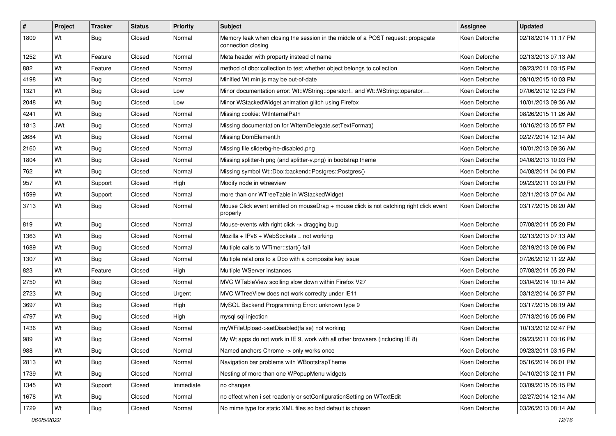| $\vert$ # | Project    | <b>Tracker</b> | <b>Status</b> | <b>Priority</b> | <b>Subject</b>                                                                                        | <b>Assignee</b> | <b>Updated</b>      |
|-----------|------------|----------------|---------------|-----------------|-------------------------------------------------------------------------------------------------------|-----------------|---------------------|
| 1809      | Wt         | <b>Bug</b>     | Closed        | Normal          | Memory leak when closing the session in the middle of a POST request: propagate<br>connection closing | Koen Deforche   | 02/18/2014 11:17 PM |
| 1252      | Wt         | Feature        | Closed        | Normal          | Meta header with property instead of name                                                             | Koen Deforche   | 02/13/2013 07:13 AM |
| 882       | Wt         | Feature        | Closed        | Normal          | method of dbo::collection to test whether object belongs to collection                                | Koen Deforche   | 09/23/2011 03:15 PM |
| 4198      | Wt         | <b>Bug</b>     | Closed        | Normal          | Minified Wt.min.js may be out-of-date                                                                 | Koen Deforche   | 09/10/2015 10:03 PM |
| 1321      | Wt         | Bug            | Closed        | Low             | Minor documentation error: Wt::WString::operator!= and Wt::WString::operator==                        | Koen Deforche   | 07/06/2012 12:23 PM |
| 2048      | Wt         | <b>Bug</b>     | Closed        | Low             | Minor WStackedWidget animation glitch using Firefox                                                   | Koen Deforche   | 10/01/2013 09:36 AM |
| 4241      | Wt         | <b>Bug</b>     | Closed        | Normal          | Missing cookie: WtInternalPath                                                                        | Koen Deforche   | 08/26/2015 11:26 AM |
| 1813      | <b>JWt</b> | <b>Bug</b>     | Closed        | Normal          | Missing documentation for WItemDelegate.setTextFormat()                                               | Koen Deforche   | 10/16/2013 05:57 PM |
| 2684      | Wt         | <b>Bug</b>     | Closed        | Normal          | Missing DomElement.h                                                                                  | Koen Deforche   | 02/27/2014 12:14 AM |
| 2160      | Wt         | Bug            | Closed        | Normal          | Missing file sliderbg-he-disabled.png                                                                 | Koen Deforche   | 10/01/2013 09:36 AM |
| 1804      | Wt         | <b>Bug</b>     | Closed        | Normal          | Missing splitter-h png (and splitter-v.png) in bootstrap theme                                        | Koen Deforche   | 04/08/2013 10:03 PM |
| 762       | Wt         | <b>Bug</b>     | Closed        | Normal          | Missing symbol Wt::Dbo::backend::Postgres::Postgres()                                                 | Koen Deforche   | 04/08/2011 04:00 PM |
| 957       | Wt         | Support        | Closed        | High            | Modify node in wtreeview                                                                              | Koen Deforche   | 09/23/2011 03:20 PM |
| 1599      | Wt         | Support        | Closed        | Normal          | more than onr WTreeTable in WStackedWidget                                                            | Koen Deforche   | 02/11/2013 07:04 AM |
| 3713      | Wt         | <b>Bug</b>     | Closed        | Normal          | Mouse Click event emitted on mouseDrag + mouse click is not catching right click event<br>properly    | Koen Deforche   | 03/17/2015 08:20 AM |
| 819       | Wt         | Bug            | Closed        | Normal          | Mouse-events with right click -> dragging bug                                                         | Koen Deforche   | 07/08/2011 05:20 PM |
| 1363      | Wt         | <b>Bug</b>     | Closed        | Normal          | $Mozilla + IPv6 + WebSockets = not working$                                                           | Koen Deforche   | 02/13/2013 07:13 AM |
| 1689      | Wt         | <b>Bug</b>     | Closed        | Normal          | Multiple calls to WTimer::start() fail                                                                | Koen Deforche   | 02/19/2013 09:06 PM |
| 1307      | Wt         | <b>Bug</b>     | Closed        | Normal          | Multiple relations to a Dbo with a composite key issue                                                | Koen Deforche   | 07/26/2012 11:22 AM |
| 823       | Wt         | Feature        | Closed        | High            | Multiple WServer instances                                                                            | Koen Deforche   | 07/08/2011 05:20 PM |
| 2750      | Wt         | <b>Bug</b>     | Closed        | Normal          | MVC WTableView scolling slow down within Firefox V27                                                  | Koen Deforche   | 03/04/2014 10:14 AM |
| 2723      | Wt         | <b>Bug</b>     | Closed        | Urgent          | MVC WTreeView does not work correcity under IE11                                                      | Koen Deforche   | 03/12/2014 06:37 PM |
| 3697      | Wt         | <b>Bug</b>     | Closed        | High            | MySQL Backend Programming Error: unknown type 9                                                       | Koen Deforche   | 03/17/2015 08:19 AM |
| 4797      | Wt         | <b>Bug</b>     | Closed        | High            | mysql sql injection                                                                                   | Koen Deforche   | 07/13/2016 05:06 PM |
| 1436      | Wt         | <b>Bug</b>     | Closed        | Normal          | myWFileUpload->setDisabled(false) not working                                                         | Koen Deforche   | 10/13/2012 02:47 PM |
| 989       | Wt         | <b>Bug</b>     | Closed        | Normal          | My Wt apps do not work in IE 9, work with all other browsers (including IE 8)                         | Koen Deforche   | 09/23/2011 03:16 PM |
| 988       | Wt         | <b>Bug</b>     | Closed        | Normal          | Named anchors Chrome -> only works once                                                               | Koen Deforche   | 09/23/2011 03:15 PM |
| 2813      | Wt         | <b>Bug</b>     | Closed        | Normal          | Navigation bar problems with WBootstrapTheme                                                          | Koen Deforche   | 05/16/2014 06:01 PM |
| 1739      | Wt         | <b>Bug</b>     | Closed        | Normal          | Nesting of more than one WPopupMenu widgets                                                           | Koen Deforche   | 04/10/2013 02:11 PM |
| 1345      | Wt         | Support        | Closed        | Immediate       | no changes                                                                                            | Koen Deforche   | 03/09/2015 05:15 PM |
| 1678      | Wt         | <b>Bug</b>     | Closed        | Normal          | no effect when i set readonly or setConfigurationSetting on WTextEdit                                 | Koen Deforche   | 02/27/2014 12:14 AM |
| 1729      | Wt         | <b>Bug</b>     | Closed        | Normal          | No mime type for static XML files so bad default is chosen                                            | Koen Deforche   | 03/26/2013 08:14 AM |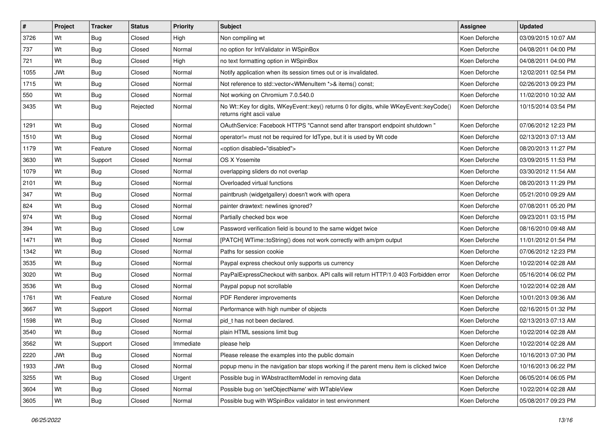| #    | Project    | <b>Tracker</b> | <b>Status</b> | <b>Priority</b> | Subject                                                                                                               | <b>Assignee</b> | <b>Updated</b>      |
|------|------------|----------------|---------------|-----------------|-----------------------------------------------------------------------------------------------------------------------|-----------------|---------------------|
| 3726 | Wt         | <b>Bug</b>     | Closed        | High            | Non compiling wt                                                                                                      | Koen Deforche   | 03/09/2015 10:07 AM |
| 737  | Wt         | <b>Bug</b>     | Closed        | Normal          | no option for IntValidator in WSpinBox                                                                                | Koen Deforche   | 04/08/2011 04:00 PM |
| 721  | Wt         | <b>Bug</b>     | Closed        | High            | no text formatting option in WSpinBox                                                                                 | Koen Deforche   | 04/08/2011 04:00 PM |
| 1055 | <b>JWt</b> | <b>Bug</b>     | Closed        | Normal          | Notify application when its session times out or is invalidated.                                                      | Koen Deforche   | 12/02/2011 02:54 PM |
| 1715 | Wt         | <b>Bug</b>     | Closed        | Normal          | Not reference to std::vector <wmenuitem *="">&amp; items() const;</wmenuitem>                                         | Koen Deforche   | 02/26/2013 09:23 PM |
| 550  | Wt         | <b>Bug</b>     | Closed        | Normal          | Not working on Chromium 7.0.540.0                                                                                     | Koen Deforche   | 11/02/2010 10:32 AM |
| 3435 | Wt         | <b>Bug</b>     | Rejected      | Normal          | No Wt::Key for digits, WKeyEvent::key() returns 0 for digits, while WKeyEvent::keyCode()<br>returns right ascii value | Koen Deforche   | 10/15/2014 03:54 PM |
| 1291 | Wt         | <b>Bug</b>     | Closed        | Normal          | OAuthService: Facebook HTTPS "Cannot send after transport endpoint shutdown "                                         | Koen Deforche   | 07/06/2012 12:23 PM |
| 1510 | Wt         | <b>Bug</b>     | Closed        | Normal          | operator!= must not be required for IdType, but it is used by Wt code                                                 | Koen Deforche   | 02/13/2013 07:13 AM |
| 1179 | Wt         | Feature        | Closed        | Normal          | <option disabled="disabled"></option>                                                                                 | Koen Deforche   | 08/20/2013 11:27 PM |
| 3630 | Wt         | Support        | Closed        | Normal          | OS X Yosemite                                                                                                         | Koen Deforche   | 03/09/2015 11:53 PM |
| 1079 | Wt         | <b>Bug</b>     | Closed        | Normal          | overlapping sliders do not overlap                                                                                    | Koen Deforche   | 03/30/2012 11:54 AM |
| 2101 | Wt         | <b>Bug</b>     | Closed        | Normal          | Overloaded virtual functions                                                                                          | Koen Deforche   | 08/20/2013 11:29 PM |
| 347  | Wt         | <b>Bug</b>     | Closed        | Normal          | paintbrush (widgetgallery) doesn't work with opera                                                                    | Koen Deforche   | 05/21/2010 09:29 AM |
| 824  | Wt         | <b>Bug</b>     | Closed        | Normal          | painter drawtext: newlines ignored?                                                                                   | Koen Deforche   | 07/08/2011 05:20 PM |
| 974  | Wt         | <b>Bug</b>     | Closed        | Normal          | Partially checked box woe                                                                                             | Koen Deforche   | 09/23/2011 03:15 PM |
| 394  | Wt         | <b>Bug</b>     | Closed        | Low             | Password verification field is bound to the same widget twice                                                         | Koen Deforche   | 08/16/2010 09:48 AM |
| 1471 | Wt         | <b>Bug</b>     | Closed        | Normal          | [PATCH] WTime::toString() does not work correctly with am/pm output                                                   | Koen Deforche   | 11/01/2012 01:54 PM |
| 1342 | Wt         | <b>Bug</b>     | Closed        | Normal          | Paths for session cookie                                                                                              | Koen Deforche   | 07/06/2012 12:23 PM |
| 3535 | Wt         | <b>Bug</b>     | Closed        | Normal          | Paypal express checkout only supports us currency                                                                     | Koen Deforche   | 10/22/2014 02:28 AM |
| 3020 | Wt         | <b>Bug</b>     | Closed        | Normal          | PayPalExpressCheckout with sanbox. API calls will return HTTP/1.0 403 Forbidden error                                 | Koen Deforche   | 05/16/2014 06:02 PM |
| 3536 | Wt         | <b>Bug</b>     | Closed        | Normal          | Paypal popup not scrollable                                                                                           | Koen Deforche   | 10/22/2014 02:28 AM |
| 1761 | Wt         | Feature        | Closed        | Normal          | PDF Renderer improvements                                                                                             | Koen Deforche   | 10/01/2013 09:36 AM |
| 3667 | Wt         | Support        | Closed        | Normal          | Performance with high number of objects                                                                               | Koen Deforche   | 02/16/2015 01:32 PM |
| 1598 | Wt         | Bug            | Closed        | Normal          | pid thas not been declared.                                                                                           | Koen Deforche   | 02/13/2013 07:13 AM |
| 3540 | Wt         | <b>Bug</b>     | Closed        | Normal          | plain HTML sessions limit bug                                                                                         | Koen Deforche   | 10/22/2014 02:28 AM |
| 3562 | Wt         | Support        | Closed        | Immediate       | please help                                                                                                           | Koen Deforche   | 10/22/2014 02:28 AM |
| 2220 | <b>JWt</b> | <b>Bug</b>     | Closed        | Normal          | Please release the examples into the public domain                                                                    | Koen Deforche   | 10/16/2013 07:30 PM |
| 1933 | <b>JWt</b> | <b>Bug</b>     | Closed        | Normal          | popup menu in the navigation bar stops working if the parent menu item is clicked twice                               | Koen Deforche   | 10/16/2013 06:22 PM |
| 3255 | Wt         | Bug            | Closed        | Urgent          | Possible bug in WAbstractItemModel in removing data                                                                   | Koen Deforche   | 06/05/2014 06:05 PM |
| 3604 | Wt         | <b>Bug</b>     | Closed        | Normal          | Possible bug on 'setObjectName' with WTableView                                                                       | Koen Deforche   | 10/22/2014 02:28 AM |
| 3605 | Wt         | <b>Bug</b>     | Closed        | Normal          | Possible bug with WSpinBox validator in test environment                                                              | Koen Deforche   | 05/08/2017 09:23 PM |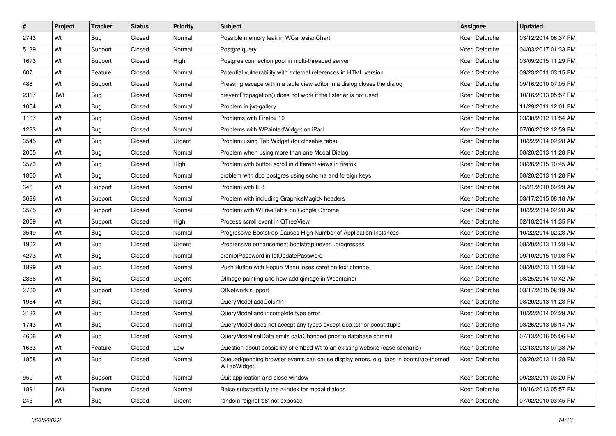| $\vert$ # | Project    | <b>Tracker</b> | <b>Status</b> | <b>Priority</b> | <b>Subject</b>                                                                                       | <b>Assignee</b> | <b>Updated</b>      |
|-----------|------------|----------------|---------------|-----------------|------------------------------------------------------------------------------------------------------|-----------------|---------------------|
| 2743      | Wt         | <b>Bug</b>     | Closed        | Normal          | Possible memory leak in WCartesianChart                                                              | Koen Deforche   | 03/12/2014 06:37 PM |
| 5139      | Wt         | Support        | Closed        | Normal          | Postgre query                                                                                        | Koen Deforche   | 04/03/2017 01:33 PM |
| 1673      | Wt         | Support        | Closed        | High            | Postgres connection pool in multi-threaded server                                                    | Koen Deforche   | 03/09/2015 11:29 PM |
| 607       | Wt         | Feature        | Closed        | Normal          | Potential vulnerability with external references in HTML version                                     | Koen Deforche   | 09/23/2011 03:15 PM |
| 486       | Wt         | Support        | Closed        | Normal          | Pressing escape within a table view editor in a dialog closes the dialog                             | Koen Deforche   | 09/16/2010 07:05 PM |
| 2317      | <b>JWt</b> | <b>Bug</b>     | Closed        | Normal          | preventPropagation() does not work if the listener is not used                                       | Koen Deforche   | 10/16/2013 05:57 PM |
| 1054      | Wt         | <b>Bug</b>     | Closed        | Normal          | Problem in jwt-gallery                                                                               | Koen Deforche   | 11/29/2011 12:01 PM |
| 1167      | Wt         | <b>Bug</b>     | Closed        | Normal          | Problems with Firefox 10                                                                             | Koen Deforche   | 03/30/2012 11:54 AM |
| 1283      | Wt         | <b>Bug</b>     | Closed        | Normal          | Problems with WPaintedWidget on iPad                                                                 | Koen Deforche   | 07/06/2012 12:59 PM |
| 3545      | Wt         | <b>Bug</b>     | Closed        | Urgent          | Problem using Tab Widget (for closable tabs)                                                         | Koen Deforche   | 10/22/2014 02:28 AM |
| 2005      | Wt         | Bug            | Closed        | Normal          | Problem when using more than one Modal Dialog                                                        | Koen Deforche   | 08/20/2013 11:28 PM |
| 3573      | Wt         | <b>Bug</b>     | Closed        | High            | Problem with button scroll in different views in firefox                                             | Koen Deforche   | 08/26/2015 10:45 AM |
| 1860      | Wt         | <b>Bug</b>     | Closed        | Normal          | problem with dbo postgres using schema and foreign keys                                              | Koen Deforche   | 08/20/2013 11:28 PM |
| 346       | Wt         | Support        | Closed        | Normal          | Problem with IE8                                                                                     | Koen Deforche   | 05/21/2010 09:29 AM |
| 3626      | Wt         | Support        | Closed        | Normal          | Problem with including GraphicsMagick headers                                                        | Koen Deforche   | 03/17/2015 08:18 AM |
| 3525      | Wt         | Support        | Closed        | Normal          | Problem with WTreeTable on Google Chrome                                                             | Koen Deforche   | 10/22/2014 02:28 AM |
| 2069      | Wt         | Support        | Closed        | High            | Process scroll event in QTreeView                                                                    | Koen Deforche   | 02/18/2014 11:35 PM |
| 3549      | Wt         | <b>Bug</b>     | Closed        | Normal          | Progressive Bootstrap Causes High Number of Application Instances                                    | Koen Deforche   | 10/22/2014 02:28 AM |
| 1902      | Wt         | <b>Bug</b>     | Closed        | Urgent          | Progressive enhancement bootstrap neverprogresses                                                    | Koen Deforche   | 08/20/2013 11:28 PM |
| 4273      | Wt         | <b>Bug</b>     | Closed        | Normal          | promptPassword in letUpdatePassword                                                                  | Koen Deforche   | 09/10/2015 10:03 PM |
| 1899      | Wt         | <b>Bug</b>     | Closed        | Normal          | Push Button with Popup Menu loses caret on text change.                                              | Koen Deforche   | 08/20/2013 11:28 PM |
| 2856      | Wt         | <b>Bug</b>     | Closed        | Urgent          | QImage painting and how add qimage in Wcontainer                                                     | Koen Deforche   | 03/25/2014 10:42 AM |
| 3700      | Wt         | Support        | Closed        | Normal          | QtNetwork support                                                                                    | Koen Deforche   | 03/17/2015 08:19 AM |
| 1984      | Wt         | Bug            | Closed        | Normal          | QueryModel addColumn                                                                                 | Koen Deforche   | 08/20/2013 11:28 PM |
| 3133      | Wt         | <b>Bug</b>     | Closed        | Normal          | QueryModel and incomplete type error                                                                 | Koen Deforche   | 10/22/2014 02:29 AM |
| 1743      | Wt         | <b>Bug</b>     | Closed        | Normal          | QueryModel does not accept any types except dbo::ptr or boost::tuple                                 | Koen Deforche   | 03/26/2013 08:14 AM |
| 4606      | Wt         | <b>Bug</b>     | Closed        | Normal          | QueryModel setData emits dataChanged prior to database commit                                        | Koen Deforche   | 07/13/2016 05:06 PM |
| 1633      | Wt         | Feature        | Closed        | Low             | Question about possibility of embed Wt to an existing website (case scenario)                        | Koen Deforche   | 02/13/2013 07:33 AM |
| 1858      | Wt         | Bug            | Closed        | Normal          | Queued/pending browser events can cause display errors, e.g. tabs in bootstrap-themed<br>WTabWidget. | Koen Deforche   | 08/20/2013 11:28 PM |
| 959       | Wt         | Support        | Closed        | Normal          | Quit application and close window                                                                    | Koen Deforche   | 09/23/2011 03:20 PM |
| 1891      | <b>JWt</b> | Feature        | Closed        | Normal          | Raise substantially the z-index for modal dialogs                                                    | Koen Deforche   | 10/16/2013 05:57 PM |
| 245       | Wt         | Bug            | Closed        | Urgent          | random "signal 's8' not exposed"                                                                     | Koen Deforche   | 07/02/2010 03:45 PM |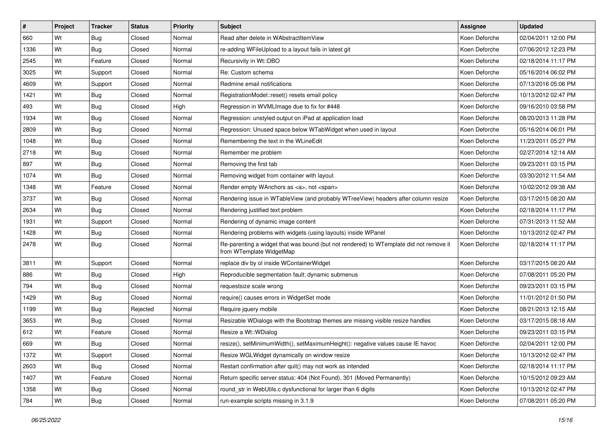| #    | Project | <b>Tracker</b> | <b>Status</b> | <b>Priority</b> | <b>Subject</b>                                                                                                     | <b>Assignee</b> | <b>Updated</b>      |
|------|---------|----------------|---------------|-----------------|--------------------------------------------------------------------------------------------------------------------|-----------------|---------------------|
| 660  | Wt      | <b>Bug</b>     | Closed        | Normal          | Read after delete in WAbstractItemView                                                                             | Koen Deforche   | 02/04/2011 12:00 PM |
| 1336 | Wt      | <b>Bug</b>     | Closed        | Normal          | re-adding WFileUpload to a layout fails in latest git                                                              | Koen Deforche   | 07/06/2012 12:23 PM |
| 2545 | Wt      | Feature        | Closed        | Normal          | Recursivity in Wt::DBO                                                                                             | Koen Deforche   | 02/18/2014 11:17 PM |
| 3025 | Wt      | Support        | Closed        | Normal          | Re: Custom schema                                                                                                  | Koen Deforche   | 05/16/2014 06:02 PM |
| 4609 | Wt      | Support        | Closed        | Normal          | Redmine email notifications                                                                                        | Koen Deforche   | 07/13/2016 05:06 PM |
| 1421 | Wt      | <b>Bug</b>     | Closed        | Normal          | RegistrationModel::reset() resets email policy                                                                     | Koen Deforche   | 10/13/2012 02:47 PM |
| 493  | Wt      | <b>Bug</b>     | Closed        | High            | Regression in WVMLImage due to fix for #448                                                                        | Koen Deforche   | 09/16/2010 03:58 PM |
| 1934 | Wt      | <b>Bug</b>     | Closed        | Normal          | Regression: unstyled output on iPad at application load                                                            | Koen Deforche   | 08/20/2013 11:28 PM |
| 2809 | Wt      | <b>Bug</b>     | Closed        | Normal          | Regression: Unused space below WTabWidget when used in layout                                                      | Koen Deforche   | 05/16/2014 06:01 PM |
| 1048 | Wt      | <b>Bug</b>     | Closed        | Normal          | Remembering the text in the WLineEdit                                                                              | Koen Deforche   | 11/23/2011 05:27 PM |
| 2718 | Wt      | <b>Bug</b>     | Closed        | Normal          | Remember me problem                                                                                                | Koen Deforche   | 02/27/2014 12:14 AM |
| 897  | Wt      | <b>Bug</b>     | Closed        | Normal          | Removing the first tab                                                                                             | Koen Deforche   | 09/23/2011 03:15 PM |
| 1074 | Wt      | Bug            | Closed        | Normal          | Removing widget from container with layout                                                                         | Koen Deforche   | 03/30/2012 11:54 AM |
| 1348 | Wt      | Feature        | Closed        | Normal          | Render empty WAnchors as <a>, not <span></span></a>                                                                | Koen Deforche   | 10/02/2012 09:38 AM |
| 3737 | Wt      | <b>Bug</b>     | Closed        | Normal          | Rendering issue in WTableView (and probably WTreeView) headers after column resize                                 | Koen Deforche   | 03/17/2015 08:20 AM |
| 2634 | Wt      | Bug            | Closed        | Normal          | Rendering justified text problem                                                                                   | Koen Deforche   | 02/18/2014 11:17 PM |
| 1931 | Wt      | Support        | Closed        | Normal          | Rendering of dynamic image content                                                                                 | Koen Deforche   | 07/31/2013 11:52 AM |
| 1428 | Wt      | <b>Bug</b>     | Closed        | Normal          | Rendering problems with widgets (using layouts) inside WPanel                                                      | Koen Deforche   | 10/13/2012 02:47 PM |
| 2478 | Wt      | <b>Bug</b>     | Closed        | Normal          | Re-parenting a widget that was bound (but not rendered) to WTemplate did not remove it<br>from WTemplate WidgetMap | Koen Deforche   | 02/18/2014 11:17 PM |
| 3811 | Wt      | Support        | Closed        | Normal          | replace div by ol inside WContainerWidget                                                                          | Koen Deforche   | 03/17/2015 08:20 AM |
| 886  | Wt      | <b>Bug</b>     | Closed        | High            | Reproducible segmentation fault: dynamic submenus                                                                  | Koen Deforche   | 07/08/2011 05:20 PM |
| 794  | Wt      | Bug            | Closed        | Normal          | requestsize scale wrong                                                                                            | Koen Deforche   | 09/23/2011 03:15 PM |
| 1429 | Wt      | <b>Bug</b>     | Closed        | Normal          | require() causes errors in WidgetSet mode                                                                          | Koen Deforche   | 11/01/2012 01:50 PM |
| 1199 | Wt      | <b>Bug</b>     | Rejected      | Normal          | Require jquery mobile                                                                                              | Koen Deforche   | 08/21/2013 12:15 AM |
| 3653 | Wt      | <b>Bug</b>     | Closed        | Normal          | Resizable WDialogs with the Bootstrap themes are missing visible resize handles                                    | Koen Deforche   | 03/17/2015 08:18 AM |
| 612  | Wt      | Feature        | Closed        | Normal          | Resize a Wt:: WDialog                                                                                              | Koen Deforche   | 09/23/2011 03:15 PM |
| 669  | Wt      | <b>Bug</b>     | Closed        | Normal          | resize(), setMinimumWidth(), setMaximumHeight(): negative values cause IE havoc                                    | Koen Deforche   | 02/04/2011 12:00 PM |
| 1372 | Wt      | Support        | Closed        | Normal          | Resize WGLWidget dynamically on window resize                                                                      | Koen Deforche   | 10/13/2012 02:47 PM |
| 2603 | Wt      | <b>Bug</b>     | Closed        | Normal          | Restart confirmation after quit() may not work as intended                                                         | Koen Deforche   | 02/18/2014 11:17 PM |
| 1407 | Wt      | Feature        | Closed        | Normal          | Return specific server status: 404 (Not Found), 301 (Moved Permanently)                                            | Koen Deforche   | 10/15/2012 09:23 AM |
| 1358 | Wt      | <b>Bug</b>     | Closed        | Normal          | round str in WebUtils.c dysfunctional for larger than 6 digits                                                     | Koen Deforche   | 10/13/2012 02:47 PM |
| 784  | Wt      | Bug            | Closed        | Normal          | run-example scripts missing in 3.1.9                                                                               | Koen Deforche   | 07/08/2011 05:20 PM |